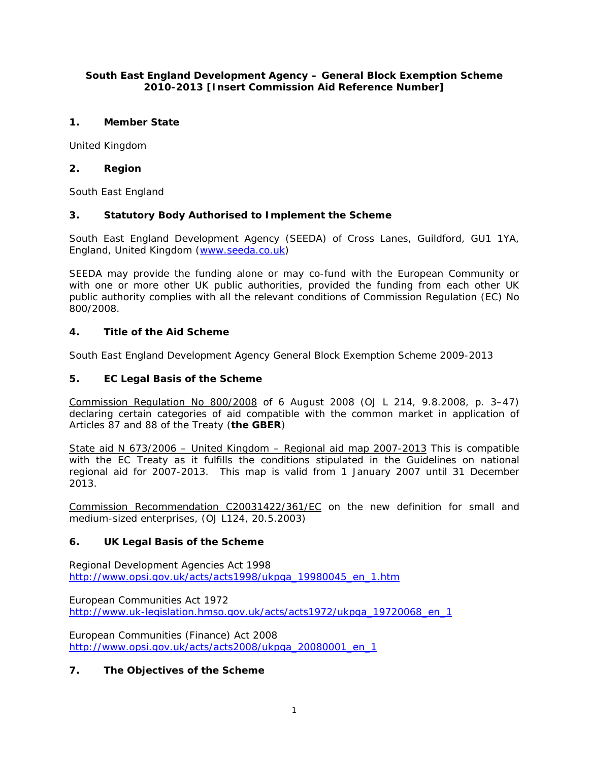## **South East England Development Agency – General Block Exemption Scheme 2010-2013 [Insert Commission Aid Reference Number]**

# **1. Member State**

United Kingdom

# **2. Region**

South East England

# **3. Statutory Body Authorised to Implement the Scheme**

South East England Development Agency (SEEDA) of Cross Lanes, Guildford, GU1 1YA, England, United Kingdom (www.seeda.co.uk)

SEEDA may provide the funding alone or may co-fund with the European Community or with one or more other UK public authorities, provided the funding from each other UK public authority complies with all the relevant conditions of Commission Regulation (EC) No 800/2008.

# **4. Title of the Aid Scheme**

South East England Development Agency General Block Exemption Scheme 2009-2013

## **5. EC Legal Basis of the Scheme**

Commission Regulation No 800/2008 of 6 August 2008 (OJ L 214, 9.8.2008, p. 3–47) declaring certain categories of aid compatible with the common market in application of Articles 87 and 88 of the Treaty (**the GBER**)

State aid N 673/2006 – United Kingdom – Regional aid map 2007-2013 This is compatible with the EC Treaty as it fulfills the conditions stipulated in the Guidelines on national regional aid for 2007-2013. This map is valid from 1 January 2007 until 31 December 2013.

Commission Recommendation C20031422/361/EC on the new definition for small and medium-sized enterprises, (OJ L124, 20.5.2003)

## **6. UK Legal Basis of the Scheme**

Regional Development Agencies Act 1998 http://www.opsi.gov.uk/acts/acts1998/ukpga\_19980045\_en\_1.htm

European Communities Act 1972 http://www.uk-legislation.hmso.gov.uk/acts/acts1972/ukpga\_19720068\_en\_1

European Communities (Finance) Act 2008 http://www.opsi.gov.uk/acts/acts2008/ukpga\_20080001\_en\_1

## **7. The Objectives of the Scheme**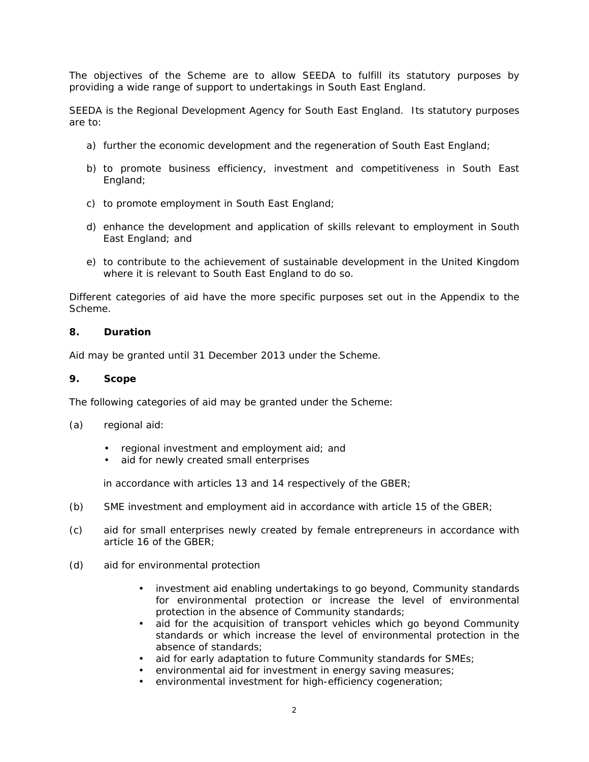The objectives of the Scheme are to allow SEEDA to fulfill its statutory purposes by providing a wide range of support to undertakings in South East England.

SEEDA is the Regional Development Agency for South East England. Its statutory purposes are to:

- a) further the economic development and the regeneration of South East England;
- b) to promote business efficiency, investment and competitiveness in South East England;
- c) to promote employment in South East England;
- d) enhance the development and application of skills relevant to employment in South East England; and
- e) to contribute to the achievement of sustainable development in the United Kingdom where it is relevant to South East England to do so.

Different categories of aid have the more specific purposes set out in the Appendix to the Scheme.

#### **8. Duration**

Aid may be granted until 31 December 2013 under the Scheme.

#### **9. Scope**

The following categories of aid may be granted under the Scheme:

- (a) regional aid:
	- regional investment and employment aid; and
	- aid for newly created small enterprises

in accordance with articles 13 and 14 respectively of the GBER;

- (b) SME investment and employment aid in accordance with article 15 of the GBER;
- (c) aid for small enterprises newly created by female entrepreneurs in accordance with article 16 of the GBER;
- (d) aid for environmental protection
	- investment aid enabling undertakings to go beyond, Community standards for environmental protection or increase the level of environmental protection in the absence of Community standards;
	- aid for the acquisition of transport vehicles which go beyond Community standards or which increase the level of environmental protection in the absence of standards;
	- aid for early adaptation to future Community standards for SMEs;
	- environmental aid for investment in energy saving measures;
	- environmental investment for high-efficiency cogeneration;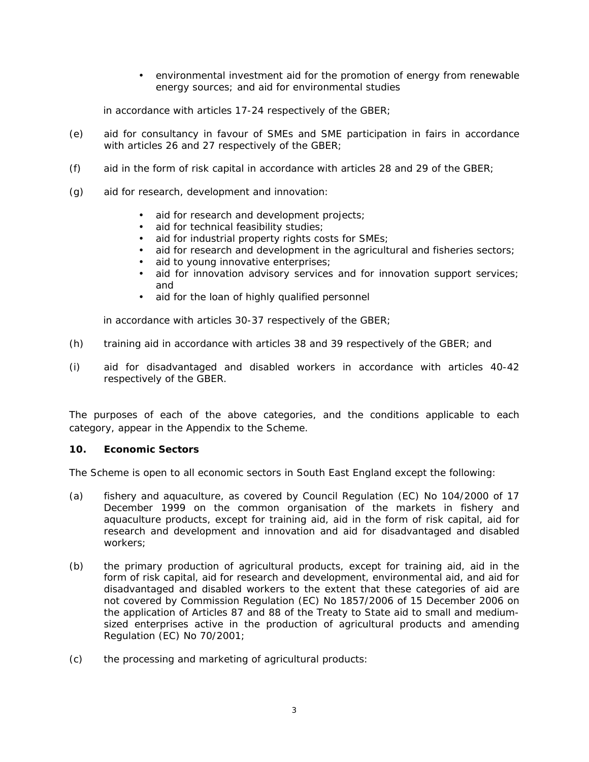• environmental investment aid for the promotion of energy from renewable energy sources; and aid for environmental studies

in accordance with articles 17-24 respectively of the GBER;

- (e) aid for consultancy in favour of SMEs and SME participation in fairs in accordance with articles 26 and 27 respectively of the GBER;
- (f) aid in the form of risk capital in accordance with articles 28 and 29 of the GBER;
- (g) aid for research, development and innovation:
	- aid for research and development projects;
	- aid for technical feasibility studies;
	- aid for industrial property rights costs for SMEs;
	- aid for research and development in the agricultural and fisheries sectors;
	- aid to young innovative enterprises;
	- aid for innovation advisory services and for innovation support services; and
	- aid for the loan of highly qualified personnel

in accordance with articles 30-37 respectively of the GBER;

- (h) training aid in accordance with articles 38 and 39 respectively of the GBER; and
- (i) aid for disadvantaged and disabled workers in accordance with articles 40-42 respectively of the GBER.

The purposes of each of the above categories, and the conditions applicable to each category, appear in the Appendix to the Scheme.

#### **10. Economic Sectors**

The Scheme is open to all economic sectors in South East England except the following:

- (a) fishery and aquaculture, as covered by Council Regulation (EC) No 104/2000 of 17 December 1999 on the common organisation of the markets in fishery and aquaculture products, except for training aid, aid in the form of risk capital, aid for research and development and innovation and aid for disadvantaged and disabled workers;
- (b) the primary production of agricultural products, except for training aid, aid in the form of risk capital, aid for research and development, environmental aid, and aid for disadvantaged and disabled workers to the extent that these categories of aid are not covered by Commission Regulation (EC) No 1857/2006 of 15 December 2006 on the application of Articles 87 and 88 of the Treaty to State aid to small and mediumsized enterprises active in the production of agricultural products and amending Regulation (EC) No 70/2001;
- (c) the processing and marketing of agricultural products: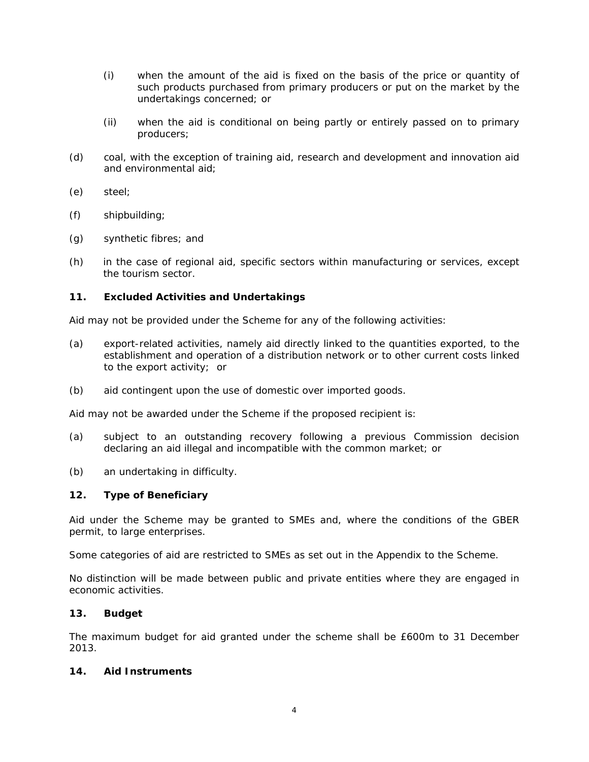- (i) when the amount of the aid is fixed on the basis of the price or quantity of such products purchased from primary producers or put on the market by the undertakings concerned; or
- (ii) when the aid is conditional on being partly or entirely passed on to primary producers;
- (d) coal, with the exception of training aid, research and development and innovation aid and environmental aid;
- (e) steel;
- (f) shipbuilding;
- (g) synthetic fibres; and
- (h) in the case of regional aid, specific sectors within manufacturing or services, except the tourism sector.

#### **11. Excluded Activities and Undertakings**

Aid may not be provided under the Scheme for any of the following activities:

- (a) export-related activities, namely aid directly linked to the quantities exported, to the establishment and operation of a distribution network or to other current costs linked to the export activity; or
- (b) aid contingent upon the use of domestic over imported goods.

Aid may not be awarded under the Scheme if the proposed recipient is:

- (a) subject to an outstanding recovery following a previous Commission decision declaring an aid illegal and incompatible with the common market; or
- (b) an undertaking in difficulty.

#### **12. Type of Beneficiary**

Aid under the Scheme may be granted to SMEs and, where the conditions of the GBER permit, to large enterprises.

Some categories of aid are restricted to SMEs as set out in the Appendix to the Scheme.

No distinction will be made between public and private entities where they are engaged in economic activities.

## **13. Budget**

The maximum budget for aid granted under the scheme shall be £600m to 31 December 2013.

## **14. Aid Instruments**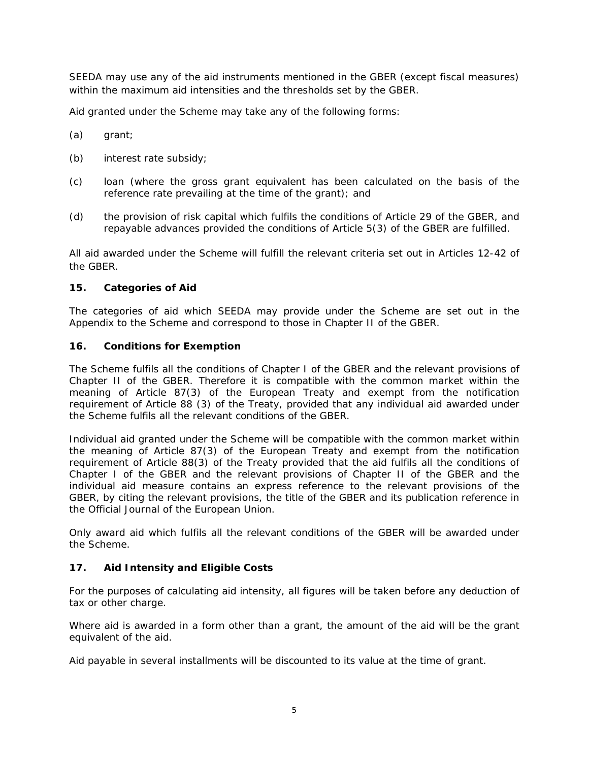SEEDA may use any of the aid instruments mentioned in the GBER (except fiscal measures) within the maximum aid intensities and the thresholds set by the GBER.

Aid granted under the Scheme may take any of the following forms:

- (a) grant;
- (b) interest rate subsidy;
- (c) loan (where the gross grant equivalent has been calculated on the basis of the reference rate prevailing at the time of the grant); and
- (d) the provision of risk capital which fulfils the conditions of Article 29 of the GBER, and repayable advances provided the conditions of Article 5(3) of the GBER are fulfilled.

All aid awarded under the Scheme will fulfill the relevant criteria set out in Articles 12-42 of the GBER.

#### **15. Categories of Aid**

The categories of aid which SEEDA may provide under the Scheme are set out in the Appendix to the Scheme and correspond to those in Chapter II of the GBER.

#### **16. Conditions for Exemption**

The Scheme fulfils all the conditions of Chapter I of the GBER and the relevant provisions of Chapter II of the GBER. Therefore it is compatible with the common market within the meaning of Article 87(3) of the European Treaty and exempt from the notification requirement of Article 88 (3) of the Treaty, provided that any individual aid awarded under the Scheme fulfils all the relevant conditions of the GBER.

Individual aid granted under the Scheme will be compatible with the common market within the meaning of Article 87(3) of the European Treaty and exempt from the notification requirement of Article 88(3) of the Treaty provided that the aid fulfils all the conditions of Chapter I of the GBER and the relevant provisions of Chapter II of the GBER and the individual aid measure contains an express reference to the relevant provisions of the GBER, by citing the relevant provisions, the title of the GBER and its publication reference in the Official Journal of the European Union.

Only award aid which fulfils all the relevant conditions of the GBER will be awarded under the Scheme.

## **17. Aid Intensity and Eligible Costs**

For the purposes of calculating aid intensity, all figures will be taken before any deduction of tax or other charge.

Where aid is awarded in a form other than a grant, the amount of the aid will be the grant equivalent of the aid.

Aid payable in several installments will be discounted to its value at the time of grant.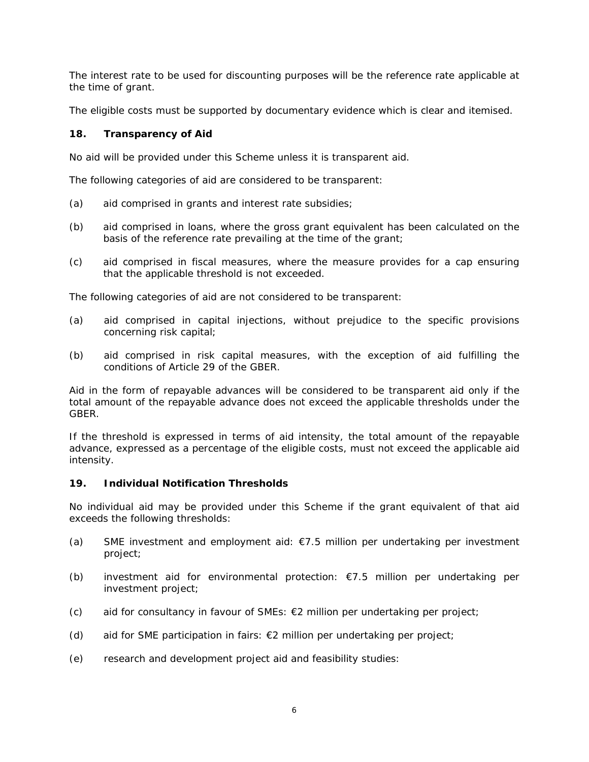The interest rate to be used for discounting purposes will be the reference rate applicable at the time of grant.

The eligible costs must be supported by documentary evidence which is clear and itemised.

## **18. Transparency of Aid**

No aid will be provided under this Scheme unless it is transparent aid.

The following categories of aid are considered to be transparent:

- (a) aid comprised in grants and interest rate subsidies;
- (b) aid comprised in loans, where the gross grant equivalent has been calculated on the basis of the reference rate prevailing at the time of the grant;
- (c) aid comprised in fiscal measures, where the measure provides for a cap ensuring that the applicable threshold is not exceeded.

The following categories of aid are not considered to be transparent:

- (a) aid comprised in capital injections, without prejudice to the specific provisions concerning risk capital;
- (b) aid comprised in risk capital measures, with the exception of aid fulfilling the conditions of Article 29 of the GBER.

Aid in the form of repayable advances will be considered to be transparent aid only if the total amount of the repayable advance does not exceed the applicable thresholds under the GBER.

If the threshold is expressed in terms of aid intensity, the total amount of the repayable advance, expressed as a percentage of the eligible costs, must not exceed the applicable aid intensity.

# **19. Individual Notification Thresholds**

No individual aid may be provided under this Scheme if the grant equivalent of that aid exceeds the following thresholds:

- (a) SME investment and employment aid:  $\epsilon$ 7.5 million per undertaking per investment project;
- (b) investment aid for environmental protection: €7.5 million per undertaking per investment project;
- (c) aid for consultancy in favour of SMEs:  $E2$  million per undertaking per project;
- (d) aid for SME participation in fairs: €2 million per undertaking per project;
- (e) research and development project aid and feasibility studies: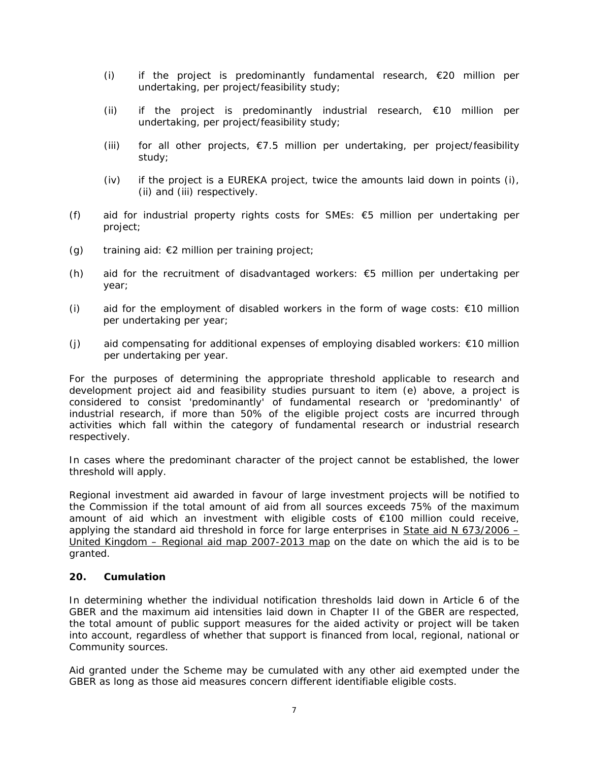- (i) if the project is predominantly fundamental research,  $\epsilon$ 20 million per undertaking, per project/feasibility study;
- (ii) if the project is predominantly industrial research,  $\epsilon$ 10 million per undertaking, per project/feasibility study;
- (iii) for all other projects,  $\epsilon$ 7.5 million per undertaking, per project/feasibility study;
- (iv) if the project is a EUREKA project, twice the amounts laid down in points (i), (ii) and (iii) respectively.
- (f) aid for industrial property rights costs for SMEs:  $€5$  million per undertaking per project;
- (g) training aid:  $E2$  million per training project;
- (h) aid for the recruitment of disadvantaged workers:  $€5$  million per undertaking per year;
- (i) aid for the employment of disabled workers in the form of wage costs:  $€10$  million per undertaking per year;
- (j) aid compensating for additional expenses of employing disabled workers: €10 million per undertaking per year.

For the purposes of determining the appropriate threshold applicable to research and development project aid and feasibility studies pursuant to item (e) above, a project is considered to consist 'predominantly' of fundamental research or 'predominantly' of industrial research, if more than 50% of the eligible project costs are incurred through activities which fall within the category of fundamental research or industrial research respectively.

In cases where the predominant character of the project cannot be established, the lower threshold will apply.

Regional investment aid awarded in favour of large investment projects will be notified to the Commission if the total amount of aid from all sources exceeds 75% of the maximum amount of aid which an investment with eligible costs of €100 million could receive, applying the standard aid threshold in force for large enterprises in State aid N 673/2006 – United Kingdom – Regional aid map 2007-2013 map on the date on which the aid is to be granted.

## **20. Cumulation**

In determining whether the individual notification thresholds laid down in Article 6 of the GBER and the maximum aid intensities laid down in Chapter II of the GBER are respected, the total amount of public support measures for the aided activity or project will be taken into account, regardless of whether that support is financed from local, regional, national or Community sources.

Aid granted under the Scheme may be cumulated with any other aid exempted under the GBER as long as those aid measures concern different identifiable eligible costs.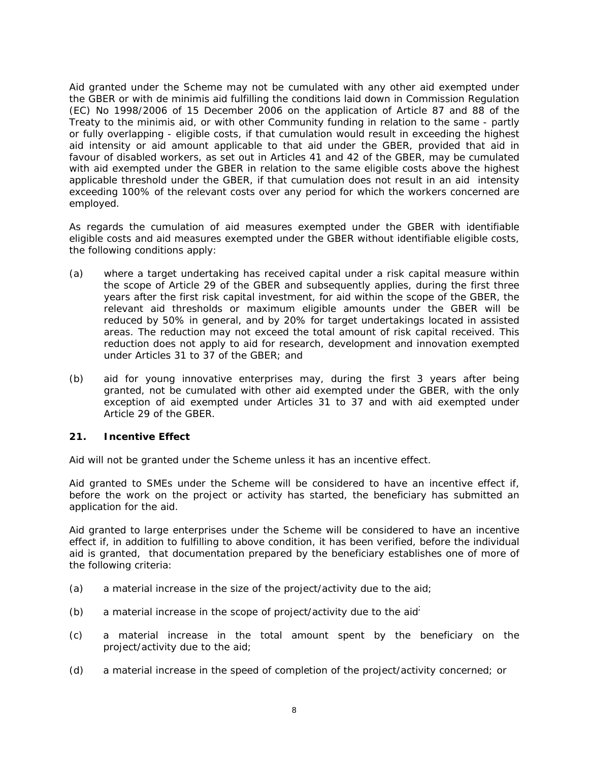Aid granted under the Scheme may not be cumulated with any other aid exempted under the GBER or with *de minimis* aid fulfilling the conditions laid down in Commission Regulation (EC) No 1998/2006 of 15 December 2006 on the application of Article 87 and 88 of the Treaty to the *minimis aid*, or with other Community funding in relation to the same - partly or fully overlapping - eligible costs, if that cumulation would result in exceeding the highest aid intensity or aid amount applicable to that aid under the GBER, provided that aid in favour of disabled workers, as set out in Articles 41 and 42 of the GBER, may be cumulated with aid exempted under the GBER in relation to the same eligible costs above the highest applicable threshold under the GBER, if that cumulation does not result in an aid intensity exceeding 100% of the relevant costs over any period for which the workers concerned are employed.

As regards the cumulation of aid measures exempted under the GBER with identifiable eligible costs and aid measures exempted under the GBER without identifiable eligible costs, the following conditions apply:

- (a) where a target undertaking has received capital under a risk capital measure within the scope of Article 29 of the GBER and subsequently applies, during the first three years after the first risk capital investment, for aid within the scope of the GBER, the relevant aid thresholds or maximum eligible amounts under the GBER will be reduced by 50% in general, and by 20% for target undertakings located in assisted areas. The reduction may not exceed the total amount of risk capital received. This reduction does not apply to aid for research, development and innovation exempted under Articles 31 to 37 of the GBER; and
- (b) aid for young innovative enterprises may, during the first 3 years after being granted, not be cumulated with other aid exempted under the GBER, with the only exception of aid exempted under Articles 31 to 37 and with aid exempted under Article 29 of the GBER.

## **21. Incentive Effect**

Aid will not be granted under the Scheme unless it has an incentive effect.

Aid granted to SMEs under the Scheme will be considered to have an incentive effect if, before the work on the project or activity has started, the beneficiary has submitted an application for the aid.

Aid granted to large enterprises under the Scheme will be considered to have an incentive effect if, in addition to fulfilling to above condition, it has been verified, before the individual aid is granted, that documentation prepared by the beneficiary establishes one of more of the following criteria:

- (a) a material increase in the size of the project/activity due to the aid;
- (b) a material increase in the scope of project/activity due to the aid $\overline{a}$
- (c) a material increase in the total amount spent by the beneficiary on the project/activity due to the aid;
- (d) a material increase in the speed of completion of the project/activity concerned; or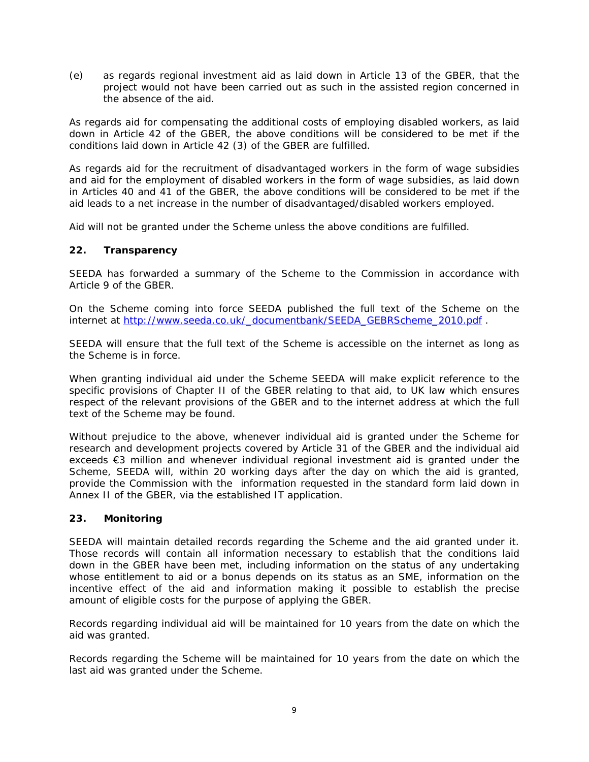(e) as regards regional investment aid as laid down in Article 13 of the GBER, that the project would not have been carried out as such in the assisted region concerned in the absence of the aid.

As regards aid for compensating the additional costs of employing disabled workers, as laid down in Article 42 of the GBER, the above conditions will be considered to be met if the conditions laid down in Article 42 (3) of the GBER are fulfilled.

As regards aid for the recruitment of disadvantaged workers in the form of wage subsidies and aid for the employment of disabled workers in the form of wage subsidies, as laid down in Articles 40 and 41 of the GBER, the above conditions will be considered to be met if the aid leads to a net increase in the number of disadvantaged/disabled workers employed.

Aid will not be granted under the Scheme unless the above conditions are fulfilled.

## **22. Transparency**

SEEDA has forwarded a summary of the Scheme to the Commission in accordance with Article 9 of the GBER.

On the Scheme coming into force SEEDA published the full text of the Scheme on the internet at http://www.seeda.co.uk/\_documentbank/SEEDA\_GEBRScheme\_2010.pdf .

SEEDA will ensure that the full text of the Scheme is accessible on the internet as long as the Scheme is in force.

When granting individual aid under the Scheme SEEDA will make explicit reference to the specific provisions of Chapter II of the GBER relating to that aid, to UK law which ensures respect of the relevant provisions of the GBER and to the internet address at which the full text of the Scheme may be found.

Without prejudice to the above, whenever individual aid is granted under the Scheme for research and development projects covered by Article 31 of the GBER and the individual aid exceeds €3 million and whenever individual regional investment aid is granted under the Scheme, SEEDA will, within 20 working days after the day on which the aid is granted, provide the Commission with the information requested in the standard form laid down in Annex II of the GBER, via the established IT application.

## **23. Monitoring**

SEEDA will maintain detailed records regarding the Scheme and the aid granted under it. Those records will contain all information necessary to establish that the conditions laid down in the GBER have been met, including information on the status of any undertaking whose entitlement to aid or a bonus depends on its status as an SME, information on the incentive effect of the aid and information making it possible to establish the precise amount of eligible costs for the purpose of applying the GBER.

Records regarding individual aid will be maintained for 10 years from the date on which the aid was granted.

Records regarding the Scheme will be maintained for 10 years from the date on which the last aid was granted under the Scheme.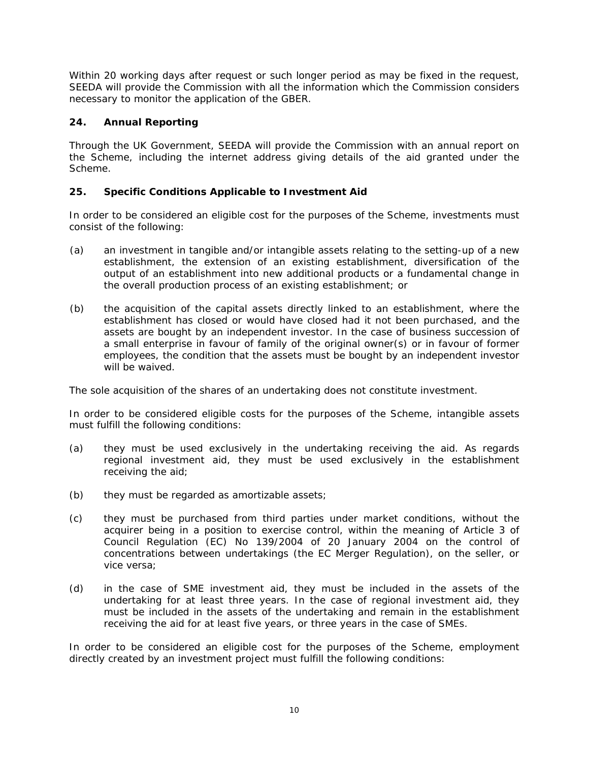Within 20 working days after request or such longer period as may be fixed in the request, SEEDA will provide the Commission with all the information which the Commission considers necessary to monitor the application of the GBER.

# **24. Annual Reporting**

Through the UK Government, SEEDA will provide the Commission with an annual report on the Scheme, including the internet address giving details of the aid granted under the Scheme.

# **25. Specific Conditions Applicable to Investment Aid**

In order to be considered an eligible cost for the purposes of the Scheme, investments must consist of the following:

- (a) an investment in tangible and/or intangible assets relating to the setting-up of a new establishment, the extension of an existing establishment, diversification of the output of an establishment into new additional products or a fundamental change in the overall production process of an existing establishment; or
- (b) the acquisition of the capital assets directly linked to an establishment, where the establishment has closed or would have closed had it not been purchased, and the assets are bought by an independent investor. In the case of business succession of a small enterprise in favour of family of the original owner(s) or in favour of former employees, the condition that the assets must be bought by an independent investor will be waived.

The sole acquisition of the shares of an undertaking does not constitute investment.

In order to be considered eligible costs for the purposes of the Scheme, intangible assets must fulfill the following conditions:

- (a) they must be used exclusively in the undertaking receiving the aid. As regards regional investment aid, they must be used exclusively in the establishment receiving the aid;
- (b) they must be regarded as amortizable assets;
- (c) they must be purchased from third parties under market conditions, without the acquirer being in a position to exercise control, within the meaning of Article 3 of Council Regulation (EC) No 139/2004 of 20 January 2004 on the control of concentrations between undertakings (the EC Merger Regulation), on the seller, or vice versa;
- (d) in the case of SME investment aid, they must be included in the assets of the undertaking for at least three years. In the case of regional investment aid, they must be included in the assets of the undertaking and remain in the establishment receiving the aid for at least five years, or three years in the case of SMEs.

In order to be considered an eligible cost for the purposes of the Scheme, employment directly created by an investment project must fulfill the following conditions: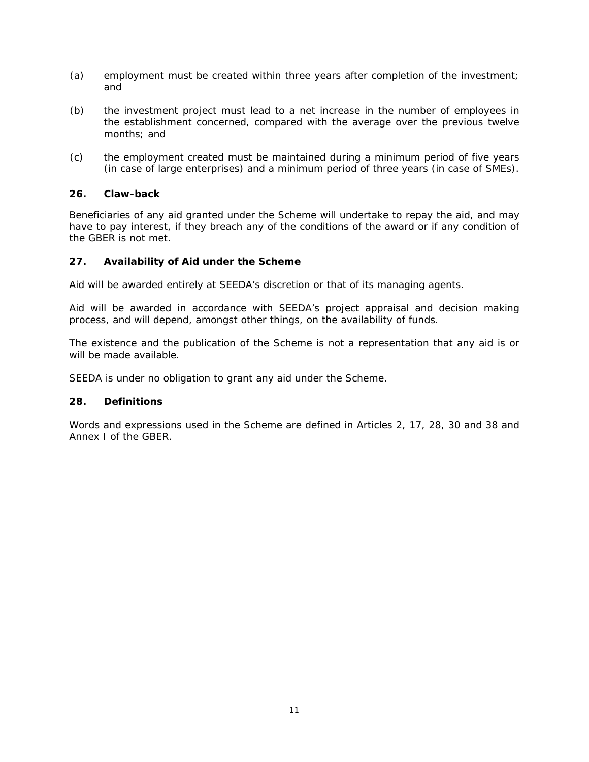- (a) employment must be created within three years after completion of the investment; and
- (b) the investment project must lead to a net increase in the number of employees in the establishment concerned, compared with the average over the previous twelve months; and
- (c) the employment created must be maintained during a minimum period of five years (in case of large enterprises) and a minimum period of three years (in case of SMEs).

## **26. Claw-back**

Beneficiaries of any aid granted under the Scheme will undertake to repay the aid, and may have to pay interest, if they breach any of the conditions of the award or if any condition of the GBER is not met.

#### **27. Availability of Aid under the Scheme**

Aid will be awarded entirely at SEEDA's discretion or that of its managing agents.

Aid will be awarded in accordance with SEEDA's project appraisal and decision making process, and will depend, amongst other things, on the availability of funds.

The existence and the publication of the Scheme is not a representation that any aid is or will be made available.

SEEDA is under no obligation to grant any aid under the Scheme.

#### **28. Definitions**

Words and expressions used in the Scheme are defined in Articles 2, 17, 28, 30 and 38 and Annex I of the GBER.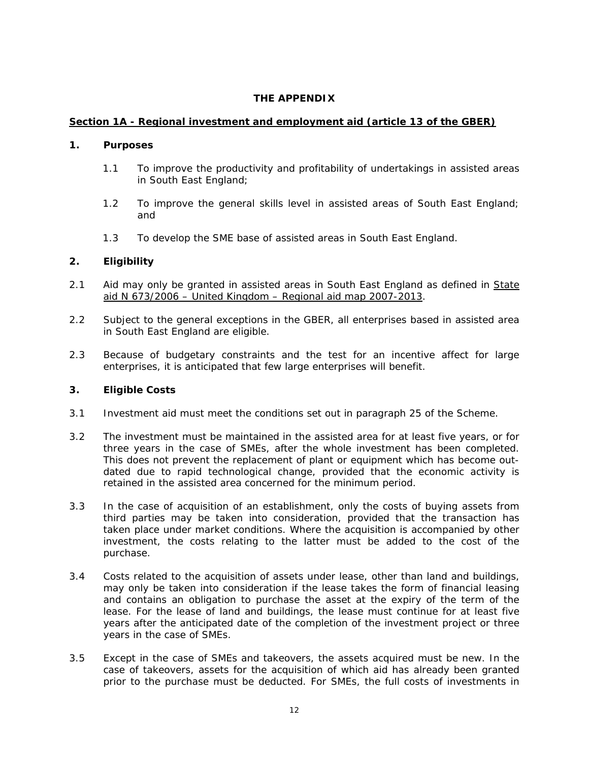## **THE APPENDIX**

## **Section 1A - Regional investment and employment aid (article 13 of the GBER)**

#### **1. Purposes**

- 1.1 To improve the productivity and profitability of undertakings in assisted areas in South East England;
- 1.2 To improve the general skills level in assisted areas of South East England; and
- 1.3 To develop the SME base of assisted areas in South East England.

## **2. Eligibility**

- 2.1 Aid may only be granted in assisted areas in South East England as defined in State aid N 673/2006 – United Kingdom – Regional aid map 2007-2013.
- 2.2 Subject to the general exceptions in the GBER, all enterprises based in assisted area in South East England are eligible.
- 2.3 Because of budgetary constraints and the test for an incentive affect for large enterprises, it is anticipated that few large enterprises will benefit.

- 3.1 Investment aid must meet the conditions set out in paragraph 25 of the Scheme.
- 3.2 The investment must be maintained in the assisted area for at least five years, or for three years in the case of SMEs, after the whole investment has been completed. This does not prevent the replacement of plant or equipment which has become outdated due to rapid technological change, provided that the economic activity is retained in the assisted area concerned for the minimum period.
- 3.3 In the case of acquisition of an establishment, only the costs of buying assets from third parties may be taken into consideration, provided that the transaction has taken place under market conditions. Where the acquisition is accompanied by other investment, the costs relating to the latter must be added to the cost of the purchase.
- 3.4 Costs related to the acquisition of assets under lease, other than land and buildings, may only be taken into consideration if the lease takes the form of financial leasing and contains an obligation to purchase the asset at the expiry of the term of the lease. For the lease of land and buildings, the lease must continue for at least five years after the anticipated date of the completion of the investment project or three years in the case of SMEs.
- 3.5 Except in the case of SMEs and takeovers, the assets acquired must be new. In the case of takeovers, assets for the acquisition of which aid has already been granted prior to the purchase must be deducted. For SMEs, the full costs of investments in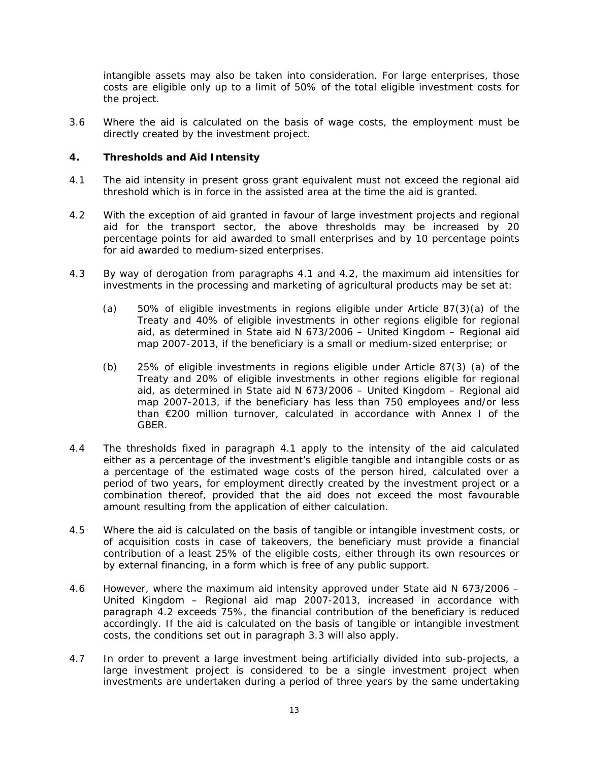intangible assets may also be taken into consideration. For large enterprises, those costs are eligible only up to a limit of 50% of the total eligible investment costs for the project.

3.6 Where the aid is calculated on the basis of wage costs, the employment must be directly created by the investment project.

- 4.1 The aid intensity in present gross grant equivalent must not exceed the regional aid threshold which is in force in the assisted area at the time the aid is granted.
- 4.2 With the exception of aid granted in favour of large investment projects and regional aid for the transport sector, the above thresholds may be increased by 20 percentage points for aid awarded to small enterprises and by 10 percentage points for aid awarded to medium-sized enterprises.
- 4.3 By way of derogation from paragraphs 4.1 and 4.2, the maximum aid intensities for investments in the processing and marketing of agricultural products may be set at:
	- (a) 50% of eligible investments in regions eligible under Article 87(3)(a) of the Treaty and 40% of eligible investments in other regions eligible for regional aid, as determined in State aid N 673/2006 – United Kingdom – Regional aid map 2007-2013, if the beneficiary is a small or medium-sized enterprise; or
	- (b) 25% of eligible investments in regions eligible under Article 87(3) (a) of the Treaty and 20% of eligible investments in other regions eligible for regional aid, as determined in State aid N 673/2006 – United Kingdom – Regional aid map 2007-2013, if the beneficiary has less than 750 employees and/or less than €200 million turnover, calculated in accordance with Annex I of the GBER.
- 4.4 The thresholds fixed in paragraph 4.1 apply to the intensity of the aid calculated either as a percentage of the investment's eligible tangible and intangible costs or as a percentage of the estimated wage costs of the person hired, calculated over a period of two years, for employment directly created by the investment project or a combination thereof, provided that the aid does not exceed the most favourable amount resulting from the application of either calculation.
- 4.5 Where the aid is calculated on the basis of tangible or intangible investment costs, or of acquisition costs in case of takeovers, the beneficiary must provide a financial contribution of a least 25% of the eligible costs, either through its own resources or by external financing, in a form which is free of any public support.
- 4.6 However, where the maximum aid intensity approved under State aid N 673/2006 United Kingdom – Regional aid map 2007-2013, increased in accordance with paragraph 4.2 exceeds 75%, the financial contribution of the beneficiary is reduced accordingly. If the aid is calculated on the basis of tangible or intangible investment costs, the conditions set out in paragraph 3.3 will also apply.
- 4.7 In order to prevent a large investment being artificially divided into sub-projects, a large investment project is considered to be a single investment project when investments are undertaken during a period of three years by the same undertaking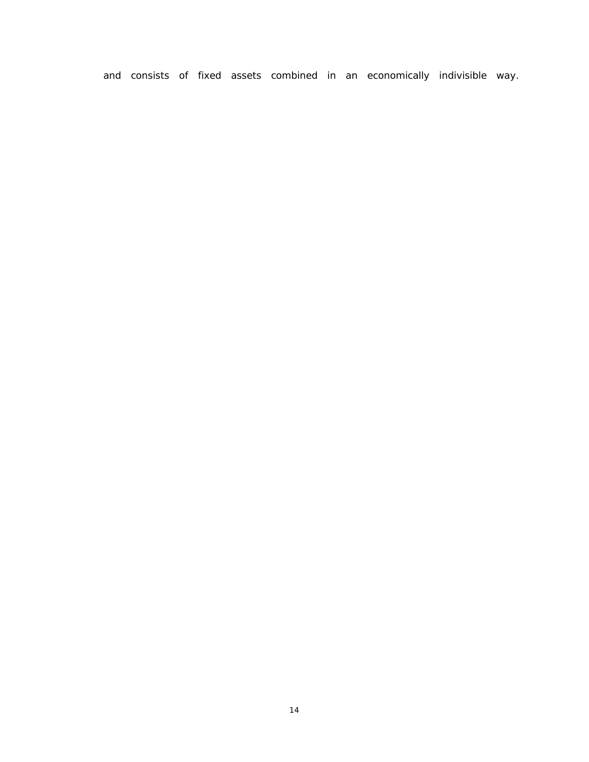and consists of fixed assets combined in an economically indivisible way.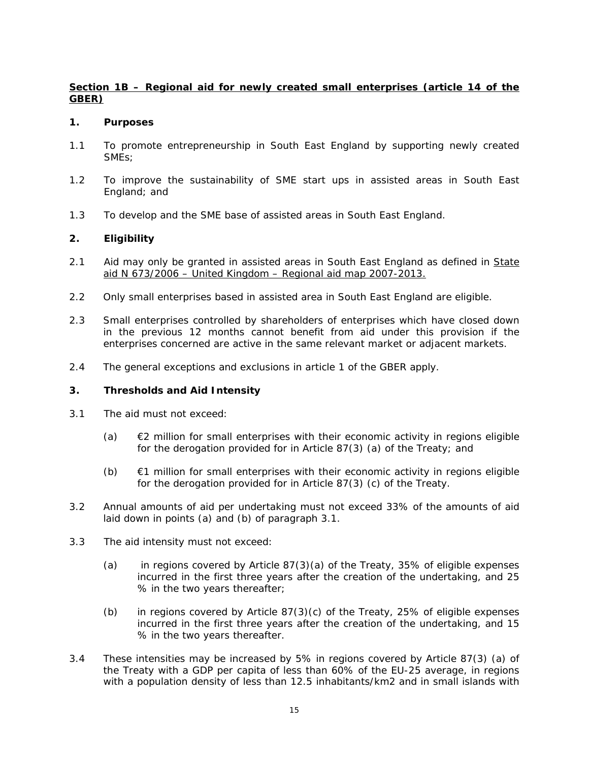# **Section 1B – Regional aid for newly created small enterprises (article 14 of the GBER)**

#### **1. Purposes**

- 1.1 To promote entrepreneurship in South East England by supporting newly created SMEs;
- 1.2 To improve the sustainability of SME start ups in assisted areas in South East England; and
- 1.3 To develop and the SME base of assisted areas in South East England.

## **2. Eligibility**

- 2.1 Aid may only be granted in assisted areas in South East England as defined in State aid N 673/2006 – United Kingdom – Regional aid map 2007-2013.
- 2.2 Only small enterprises based in assisted area in South East England are eligible.
- 2.3 Small enterprises controlled by shareholders of enterprises which have closed down in the previous 12 months cannot benefit from aid under this provision if the enterprises concerned are active in the same relevant market or adjacent markets.
- 2.4 The general exceptions and exclusions in article 1 of the GBER apply.

- 3.1 The aid must not exceed:
	- (a)  $\epsilon$ 2 million for small enterprises with their economic activity in regions eligible for the derogation provided for in Article 87(3) (a) of the Treaty; and
	- $(b)$   $\in$  1 million for small enterprises with their economic activity in regions eligible for the derogation provided for in Article 87(3) (c) of the Treaty.
- 3.2 Annual amounts of aid per undertaking must not exceed 33% of the amounts of aid laid down in points (a) and (b) of paragraph 3.1.
- 3.3 The aid intensity must not exceed:
	- (a) in regions covered by Article 87(3)(a) of the Treaty, 35% of eligible expenses incurred in the first three years after the creation of the undertaking, and 25 % in the two years thereafter;
	- (b) in regions covered by Article  $87(3)(c)$  of the Treaty, 25% of eligible expenses incurred in the first three years after the creation of the undertaking, and 15 % in the two years thereafter.
- 3.4 These intensities may be increased by 5% in regions covered by Article 87(3) (a) of the Treaty with a GDP per capita of less than 60% of the EU-25 average, in regions with a population density of less than 12.5 inhabitants/km2 and in small islands with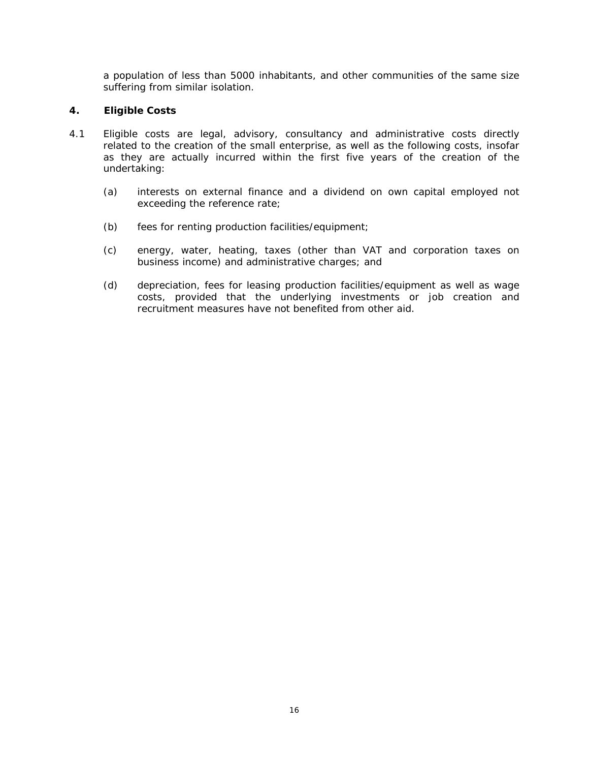a population of less than 5000 inhabitants, and other communities of the same size suffering from similar isolation.

- 4.1 Eligible costs are legal, advisory, consultancy and administrative costs directly related to the creation of the small enterprise, as well as the following costs, insofar as they are actually incurred within the first five years of the creation of the undertaking:
	- (a) interests on external finance and a dividend on own capital employed not exceeding the reference rate;
	- (b) fees for renting production facilities/equipment;
	- (c) energy, water, heating, taxes (other than VAT and corporation taxes on business income) and administrative charges; and
	- (d) depreciation, fees for leasing production facilities/equipment as well as wage costs, provided that the underlying investments or job creation and recruitment measures have not benefited from other aid.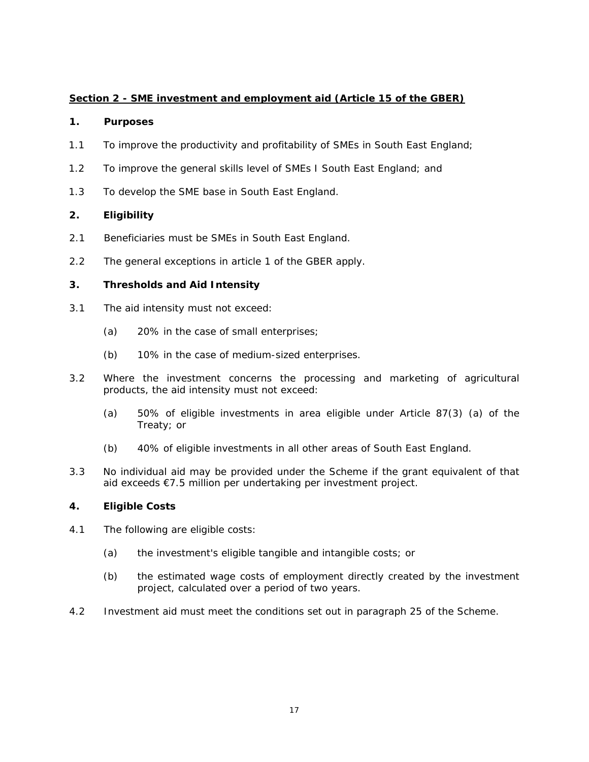# **Section 2 - SME investment and employment aid (Article 15 of the GBER)**

## **1. Purposes**

- 1.1 To improve the productivity and profitability of SMEs in South East England;
- 1.2 To improve the general skills level of SMEs I South East England; and
- 1.3 To develop the SME base in South East England.

# **2. Eligibility**

- 2.1 Beneficiaries must be SMEs in South East England.
- 2.2 The general exceptions in article 1 of the GBER apply.

# **3. Thresholds and Aid Intensity**

- 3.1 The aid intensity must not exceed:
	- (a) 20% in the case of small enterprises;
	- (b) 10% in the case of medium-sized enterprises.
- 3.2 Where the investment concerns the processing and marketing of agricultural products, the aid intensity must not exceed:
	- (a) 50% of eligible investments in area eligible under Article 87(3) (a) of the Treaty; or
	- (b) 40% of eligible investments in all other areas of South East England.
- 3.3 No individual aid may be provided under the Scheme if the grant equivalent of that aid exceeds €7.5 million per undertaking per investment project.

- 4.1 The following are eligible costs:
	- (a) the investment's eligible tangible and intangible costs; or
	- (b) the estimated wage costs of employment directly created by the investment project, calculated over a period of two years.
- 4.2 Investment aid must meet the conditions set out in paragraph 25 of the Scheme.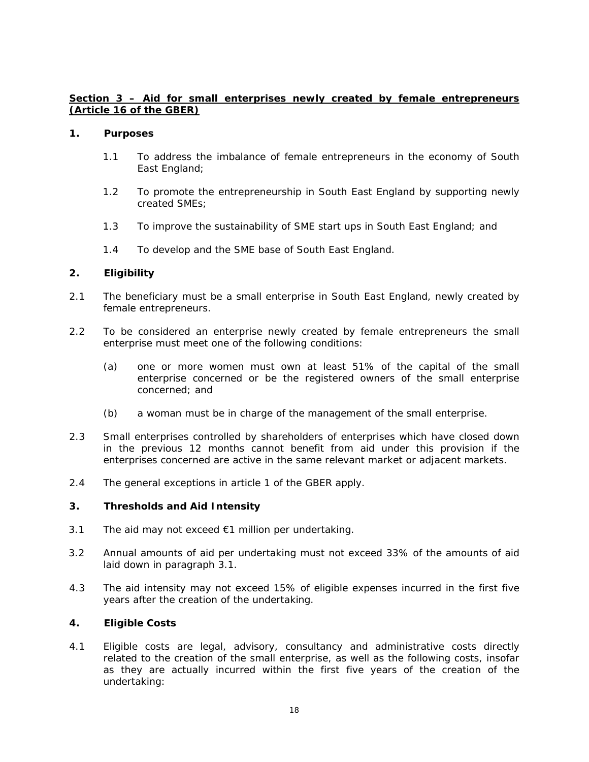## **Section 3 – Aid for small enterprises newly created by female entrepreneurs (Article 16 of the GBER)**

#### **1. Purposes**

- 1.1 To address the imbalance of female entrepreneurs in the economy of South East England;
- 1.2 To promote the entrepreneurship in South East England by supporting newly created SMEs;
- 1.3 To improve the sustainability of SME start ups in South East England; and
- 1.4 To develop and the SME base of South East England.

#### **2. Eligibility**

- 2.1 The beneficiary must be a small enterprise in South East England, newly created by female entrepreneurs.
- 2.2 To be considered an enterprise newly created by female entrepreneurs the small enterprise must meet one of the following conditions:
	- (a) one or more women must own at least 51% of the capital of the small enterprise concerned or be the registered owners of the small enterprise concerned; and
	- (b) a woman must be in charge of the management of the small enterprise.
- 2.3 Small enterprises controlled by shareholders of enterprises which have closed down in the previous 12 months cannot benefit from aid under this provision if the enterprises concerned are active in the same relevant market or adjacent markets.
- 2.4 The general exceptions in article 1 of the GBER apply.

## **3. Thresholds and Aid Intensity**

- 3.1 The aid may not exceed  $\epsilon$ 1 million per undertaking.
- 3.2 Annual amounts of aid per undertaking must not exceed 33% of the amounts of aid laid down in paragraph 3.1.
- 4.3 The aid intensity may not exceed 15% of eligible expenses incurred in the first five years after the creation of the undertaking.

## **4. Eligible Costs**

4.1 Eligible costs are legal, advisory, consultancy and administrative costs directly related to the creation of the small enterprise, as well as the following costs, insofar as they are actually incurred within the first five years of the creation of the undertaking: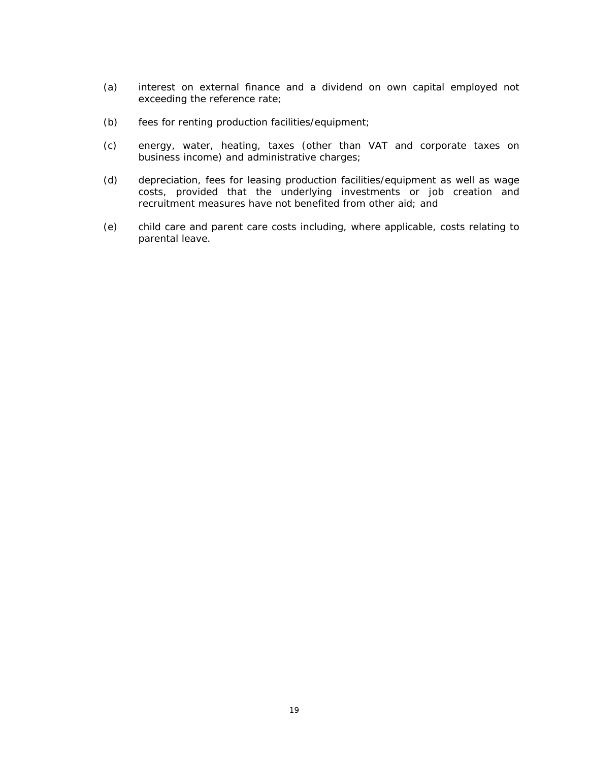- (a) interest on external finance and a dividend on own capital employed not exceeding the reference rate;
- (b) fees for renting production facilities/equipment;
- (c) energy, water, heating, taxes (other than VAT and corporate taxes on business income) and administrative charges;
- (d) depreciation, fees for leasing production facilities/equipment as well as wage costs, provided that the underlying investments or job creation and recruitment measures have not benefited from other aid; and
- (e) child care and parent care costs including, where applicable, costs relating to parental leave.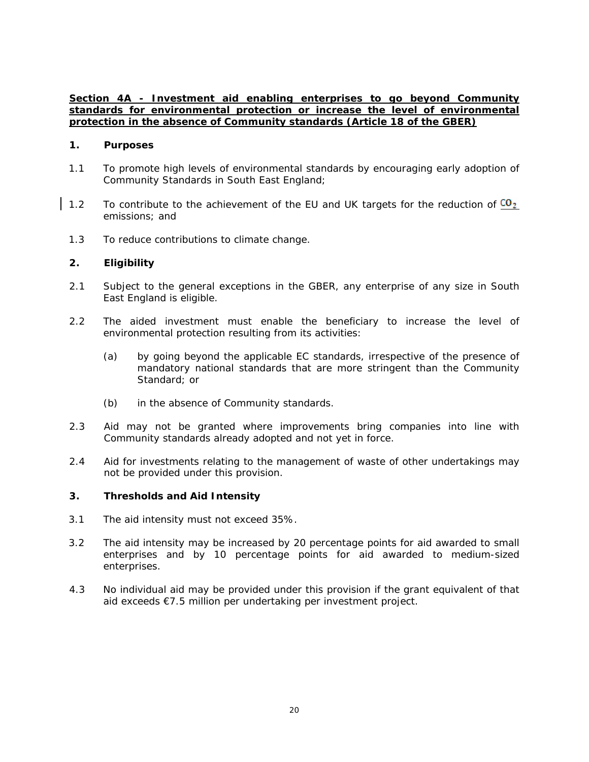## **Section 4A - Investment aid enabling enterprises to go beyond Community standards for environmental protection or increase the level of environmental protection in the absence of Community standards (Article 18 of the GBER)**

#### **1. Purposes**

- 1.1 To promote high levels of environmental standards by encouraging early adoption of Community Standards in South East England;
- 1.2 To contribute to the achievement of the EU and UK targets for the reduction of  $C_2$ emissions; and
- 1.3 To reduce contributions to climate change.

#### **2. Eligibility**

- 2.1 Subject to the general exceptions in the GBER, any enterprise of any size in South East England is eligible.
- 2.2 The aided investment must enable the beneficiary to increase the level of environmental protection resulting from its activities:
	- (a) by going beyond the applicable EC standards, irrespective of the presence of mandatory national standards that are more stringent than the Community Standard; or
	- (b) in the absence of Community standards.
- 2.3 Aid may not be granted where improvements bring companies into line with Community standards already adopted and not yet in force.
- 2.4 Aid for investments relating to the management of waste of other undertakings may not be provided under this provision.

- 3.1 The aid intensity must not exceed 35%.
- 3.2 The aid intensity may be increased by 20 percentage points for aid awarded to small enterprises and by 10 percentage points for aid awarded to medium-sized enterprises.
- 4.3 No individual aid may be provided under this provision if the grant equivalent of that aid exceeds €7.5 million per undertaking per investment project.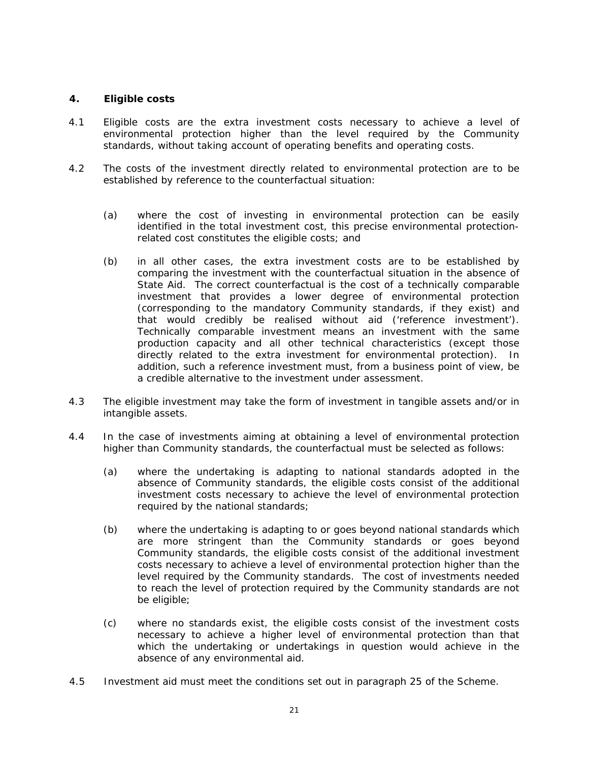- 4.1 Eligible costs are the extra investment costs necessary to achieve a level of environmental protection higher than the level required by the Community standards, without taking account of operating benefits and operating costs.
- 4.2 The costs of the investment directly related to environmental protection are to be established by reference to the counterfactual situation:
	- (a) where the cost of investing in environmental protection can be easily identified in the total investment cost, this precise environmental protectionrelated cost constitutes the eligible costs; and
	- (b) in all other cases, the extra investment costs are to be established by comparing the investment with the counterfactual situation in the absence of State Aid. The correct counterfactual is the cost of a technically comparable investment that provides a lower degree of environmental protection (corresponding to the mandatory Community standards, if they exist) and that would credibly be realised without aid ('reference investment'). Technically comparable investment means an investment with the same production capacity and all other technical characteristics (except those directly related to the extra investment for environmental protection). In addition, such a reference investment must, from a business point of view, be a credible alternative to the investment under assessment.
- 4.3 The eligible investment may take the form of investment in tangible assets and/or in intangible assets.
- 4.4 In the case of investments aiming at obtaining a level of environmental protection higher than Community standards, the counterfactual must be selected as follows:
	- (a) where the undertaking is adapting to national standards adopted in the absence of Community standards, the eligible costs consist of the additional investment costs necessary to achieve the level of environmental protection required by the national standards;
	- (b) where the undertaking is adapting to or goes beyond national standards which are more stringent than the Community standards or goes beyond Community standards, the eligible costs consist of the additional investment costs necessary to achieve a level of environmental protection higher than the level required by the Community standards. The cost of investments needed to reach the level of protection required by the Community standards are not be eligible;
	- (c) where no standards exist, the eligible costs consist of the investment costs necessary to achieve a higher level of environmental protection than that which the undertaking or undertakings in question would achieve in the absence of any environmental aid.
- 4.5 Investment aid must meet the conditions set out in paragraph 25 of the Scheme.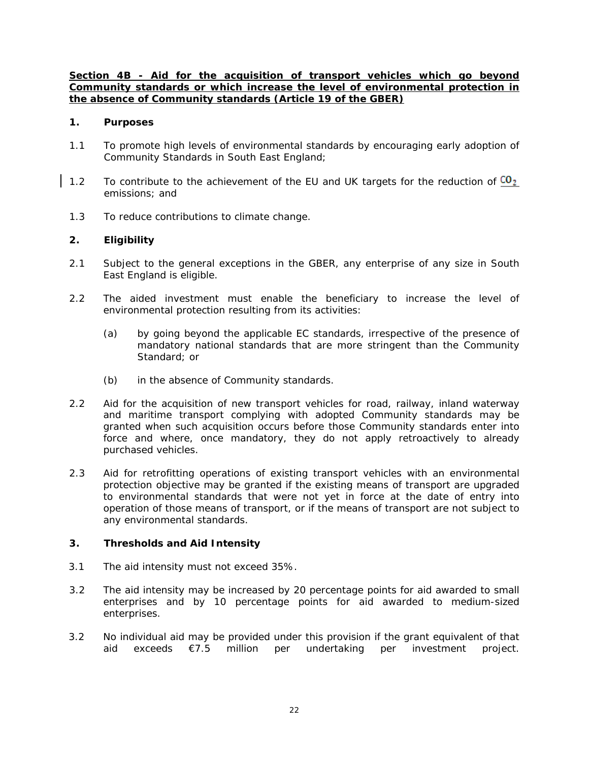**Section 4B - Aid for the acquisition of transport vehicles which go beyond Community standards or which increase the level of environmental protection in the absence of Community standards (Article 19 of the GBER)**

#### **1. Purposes**

- 1.1 To promote high levels of environmental standards by encouraging early adoption of Community Standards in South East England;
- 1.2 To contribute to the achievement of the EU and UK targets for the reduction of  $C_2$ emissions; and
- 1.3 To reduce contributions to climate change.

## **2. Eligibility**

- 2.1 Subject to the general exceptions in the GBER, any enterprise of any size in South East England is eligible.
- 2.2 The aided investment must enable the beneficiary to increase the level of environmental protection resulting from its activities:
	- (a) by going beyond the applicable EC standards, irrespective of the presence of mandatory national standards that are more stringent than the Community Standard; or
	- (b) in the absence of Community standards.
- 2.2 Aid for the acquisition of new transport vehicles for road, railway, inland waterway and maritime transport complying with adopted Community standards may be granted when such acquisition occurs before those Community standards enter into force and where, once mandatory, they do not apply retroactively to already purchased vehicles.
- 2.3 Aid for retrofitting operations of existing transport vehicles with an environmental protection objective may be granted if the existing means of transport are upgraded to environmental standards that were not yet in force at the date of entry into operation of those means of transport, or if the means of transport are not subject to any environmental standards.

- 3.1 The aid intensity must not exceed 35%.
- 3.2 The aid intensity may be increased by 20 percentage points for aid awarded to small enterprises and by 10 percentage points for aid awarded to medium-sized enterprises.
- 3.2 No individual aid may be provided under this provision if the grant equivalent of that aid exceeds €7.5 million per undertaking per investment project.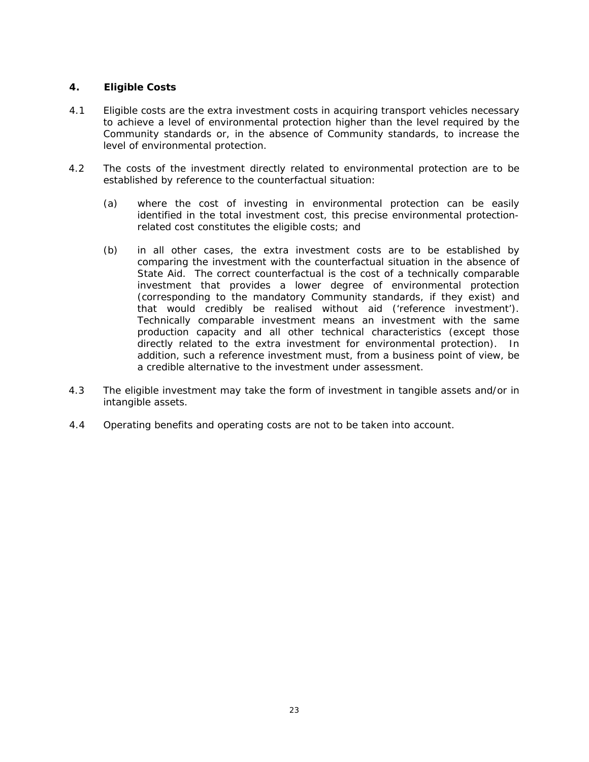- 4.1 Eligible costs are the extra investment costs in acquiring transport vehicles necessary to achieve a level of environmental protection higher than the level required by the Community standards or, in the absence of Community standards, to increase the level of environmental protection.
- 4.2 The costs of the investment directly related to environmental protection are to be established by reference to the counterfactual situation:
	- (a) where the cost of investing in environmental protection can be easily identified in the total investment cost, this precise environmental protectionrelated cost constitutes the eligible costs; and
	- (b) in all other cases, the extra investment costs are to be established by comparing the investment with the counterfactual situation in the absence of State Aid. The correct counterfactual is the cost of a technically comparable investment that provides a lower degree of environmental protection (corresponding to the mandatory Community standards, if they exist) and that would credibly be realised without aid ('reference investment'). Technically comparable investment means an investment with the same production capacity and all other technical characteristics (except those directly related to the extra investment for environmental protection). In addition, such a reference investment must, from a business point of view, be a credible alternative to the investment under assessment.
- 4.3 The eligible investment may take the form of investment in tangible assets and/or in intangible assets.
- 4.4 Operating benefits and operating costs are not to be taken into account.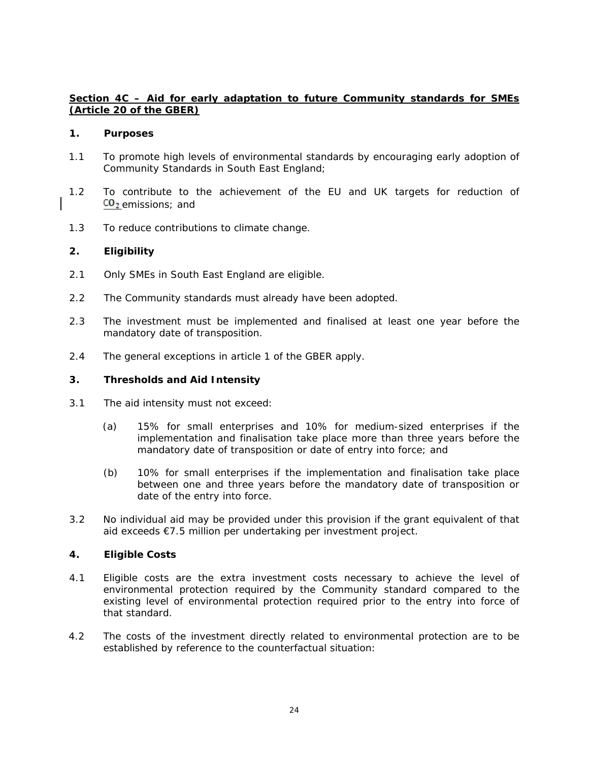# **Section 4C – Aid for early adaptation to future Community standards for SMEs (Article 20 of the GBER)**

#### **1. Purposes**

- 1.1 To promote high levels of environmental standards by encouraging early adoption of Community Standards in South East England;
- 1.2 To contribute to the achievement of the EU and UK targets for reduction of  $CO<sub>2</sub>$  emissions; and
- 1.3 To reduce contributions to climate change.

# **2. Eligibility**

- 2.1 Only SMEs in South East England are eligible.
- 2.2 The Community standards must already have been adopted.
- 2.3 The investment must be implemented and finalised at least one year before the mandatory date of transposition.
- 2.4 The general exceptions in article 1 of the GBER apply.

## **3. Thresholds and Aid Intensity**

- 3.1 The aid intensity must not exceed:
	- (a) 15% for small enterprises and 10% for medium-sized enterprises if the implementation and finalisation take place more than three years before the mandatory date of transposition or date of entry into force; and
	- (b) 10% for small enterprises if the implementation and finalisation take place between one and three years before the mandatory date of transposition or date of the entry into force.
- 3.2 No individual aid may be provided under this provision if the grant equivalent of that aid exceeds €7.5 million per undertaking per investment project.

- 4.1 Eligible costs are the extra investment costs necessary to achieve the level of environmental protection required by the Community standard compared to the existing level of environmental protection required prior to the entry into force of that standard.
- 4.2 The costs of the investment directly related to environmental protection are to be established by reference to the counterfactual situation: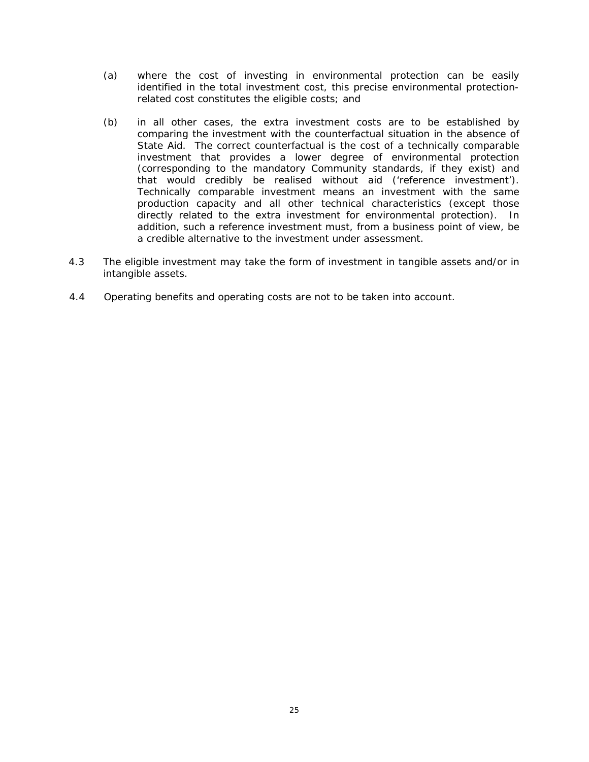- (a) where the cost of investing in environmental protection can be easily identified in the total investment cost, this precise environmental protectionrelated cost constitutes the eligible costs; and
- (b) in all other cases, the extra investment costs are to be established by comparing the investment with the counterfactual situation in the absence of State Aid. The correct counterfactual is the cost of a technically comparable investment that provides a lower degree of environmental protection (corresponding to the mandatory Community standards, if they exist) and that would credibly be realised without aid ('reference investment'). Technically comparable investment means an investment with the same production capacity and all other technical characteristics (except those directly related to the extra investment for environmental protection). In addition, such a reference investment must, from a business point of view, be a credible alternative to the investment under assessment.
- 4.3 The eligible investment may take the form of investment in tangible assets and/or in intangible assets.
- 4.4 Operating benefits and operating costs are not to be taken into account.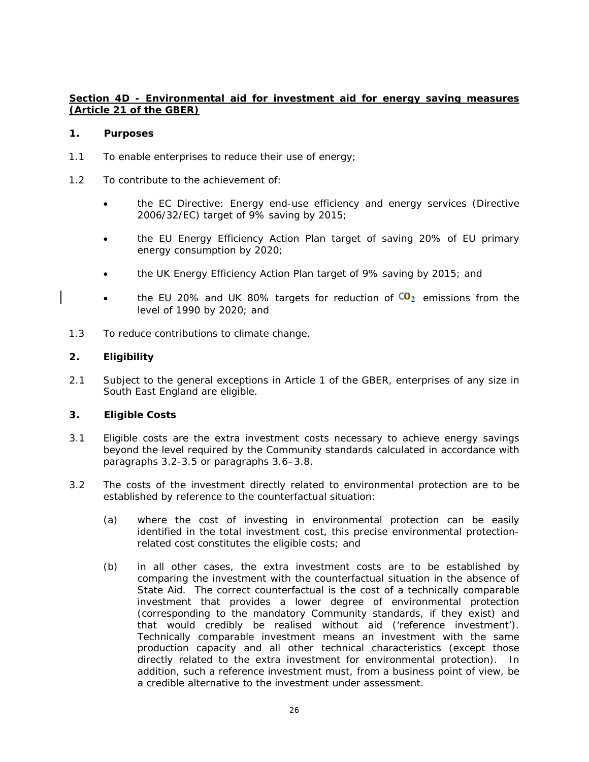# **Section 4D - Environmental aid for investment aid for energy saving measures (Article 21 of the GBER)**

#### **1. Purposes**

- 1.1 To enable enterprises to reduce their use of energy;
- 1.2 To contribute to the achievement of:
	- the EC Directive: Energy end-use efficiency and energy services (Directive 2006/32/EC) target of 9% saving by 2015;
	- the EU Energy Efficiency Action Plan target of saving 20% of EU primary energy consumption by 2020;
	- the UK Energy Efficiency Action Plan target of 9% saving by 2015; and
	- the EU 20% and UK 80% targets for reduction of  $CO<sub>2</sub>$  emissions from the level of 1990 by 2020; and
- 1.3 To reduce contributions to climate change.

## **2. Eligibility**

2.1 Subject to the general exceptions in Article 1 of the GBER, enterprises of any size in South East England are eligible.

- 3.1 Eligible costs are the extra investment costs necessary to achieve energy savings beyond the level required by the Community standards calculated in accordance with paragraphs 3.2-3.5 or paragraphs 3.6–3.8.
- 3.2 The costs of the investment directly related to environmental protection are to be established by reference to the counterfactual situation:
	- (a) where the cost of investing in environmental protection can be easily identified in the total investment cost, this precise environmental protectionrelated cost constitutes the eligible costs; and
	- (b) in all other cases, the extra investment costs are to be established by comparing the investment with the counterfactual situation in the absence of State Aid. The correct counterfactual is the cost of a technically comparable investment that provides a lower degree of environmental protection (corresponding to the mandatory Community standards, if they exist) and that would credibly be realised without aid ('reference investment'). Technically comparable investment means an investment with the same production capacity and all other technical characteristics (except those directly related to the extra investment for environmental protection). In addition, such a reference investment must, from a business point of view, be a credible alternative to the investment under assessment.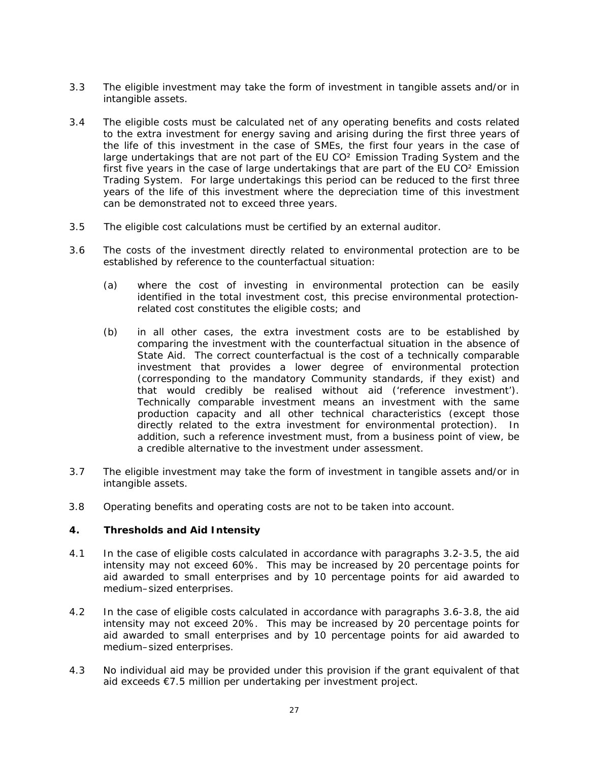- 3.3 The eligible investment may take the form of investment in tangible assets and/or in intangible assets.
- 3.4 The eligible costs must be calculated net of any operating benefits and costs related to the extra investment for energy saving and arising during the first three years of the life of this investment in the case of SMEs, the first four years in the case of large undertakings that are not part of the EU CO² Emission Trading System and the first five years in the case of large undertakings that are part of the EU CO² Emission Trading System. For large undertakings this period can be reduced to the first three years of the life of this investment where the depreciation time of this investment can be demonstrated not to exceed three years.
- 3.5 The eligible cost calculations must be certified by an external auditor.
- 3.6 The costs of the investment directly related to environmental protection are to be established by reference to the counterfactual situation:
	- (a) where the cost of investing in environmental protection can be easily identified in the total investment cost, this precise environmental protectionrelated cost constitutes the eligible costs; and
	- (b) in all other cases, the extra investment costs are to be established by comparing the investment with the counterfactual situation in the absence of State Aid. The correct counterfactual is the cost of a technically comparable investment that provides a lower degree of environmental protection (corresponding to the mandatory Community standards, if they exist) and that would credibly be realised without aid ('reference investment'). Technically comparable investment means an investment with the same production capacity and all other technical characteristics (except those directly related to the extra investment for environmental protection). In addition, such a reference investment must, from a business point of view, be a credible alternative to the investment under assessment.
- 3.7 The eligible investment may take the form of investment in tangible assets and/or in intangible assets.
- 3.8 Operating benefits and operating costs are not to be taken into account.

- 4.1 In the case of eligible costs calculated in accordance with paragraphs 3.2-3.5, the aid intensity may not exceed 60%. This may be increased by 20 percentage points for aid awarded to small enterprises and by 10 percentage points for aid awarded to medium–sized enterprises.
- 4.2 In the case of eligible costs calculated in accordance with paragraphs 3.6-3.8, the aid intensity may not exceed 20%. This may be increased by 20 percentage points for aid awarded to small enterprises and by 10 percentage points for aid awarded to medium–sized enterprises.
- 4.3 No individual aid may be provided under this provision if the grant equivalent of that aid exceeds €7.5 million per undertaking per investment project.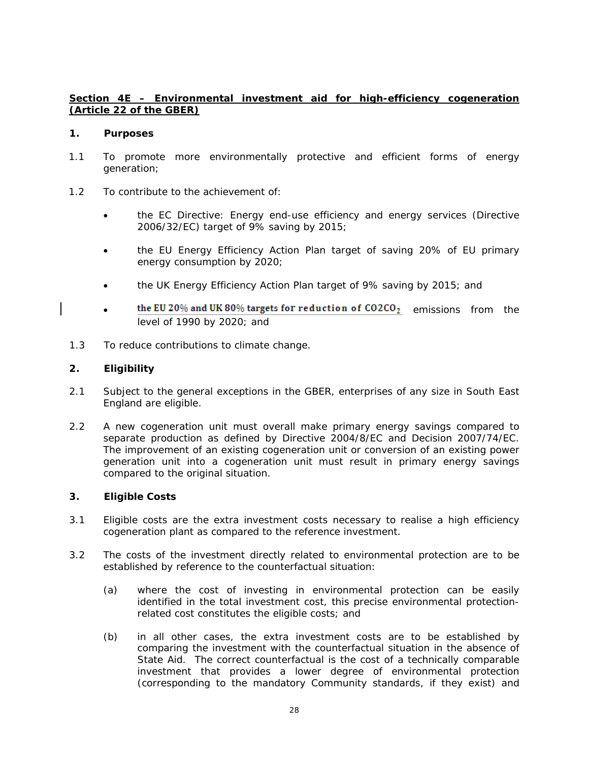# **Section 4E – Environmental investment aid for high-efficiency cogeneration (Article 22 of the GBER)**

#### **1. Purposes**

- 1.1 To promote more environmentally protective and efficient forms of energy generation;
- 1.2 To contribute to the achievement of:
	- the EC Directive: Energy end-use efficiency and energy services (Directive 2006/32/EC) target of 9% saving by 2015;
	- the EU Energy Efficiency Action Plan target of saving 20% of EU primary energy consumption by 2020;
	- the UK Energy Efficiency Action Plan target of 9% saving by 2015; and
	- the EU 20% and UK 80% targets for reduction of  $CO2CO<sub>2</sub>$  emissions from the level of 1990 by 2020; and
- 1.3 To reduce contributions to climate change.

## **2. Eligibility**

- 2.1 Subject to the general exceptions in the GBER, enterprises of any size in South East England are eligible.
- 2.2 A new cogeneration unit must overall make primary energy savings compared to separate production as defined by Directive 2004/8/EC and Decision 2007/74/EC. The improvement of an existing cogeneration unit or conversion of an existing power generation unit into a cogeneration unit must result in primary energy savings compared to the original situation.

- 3.1 Eligible costs are the extra investment costs necessary to realise a high efficiency cogeneration plant as compared to the reference investment.
- 3.2 The costs of the investment directly related to environmental protection are to be established by reference to the counterfactual situation:
	- (a) where the cost of investing in environmental protection can be easily identified in the total investment cost, this precise environmental protectionrelated cost constitutes the eligible costs; and
	- (b) in all other cases, the extra investment costs are to be established by comparing the investment with the counterfactual situation in the absence of State Aid. The correct counterfactual is the cost of a technically comparable investment that provides a lower degree of environmental protection (corresponding to the mandatory Community standards, if they exist) and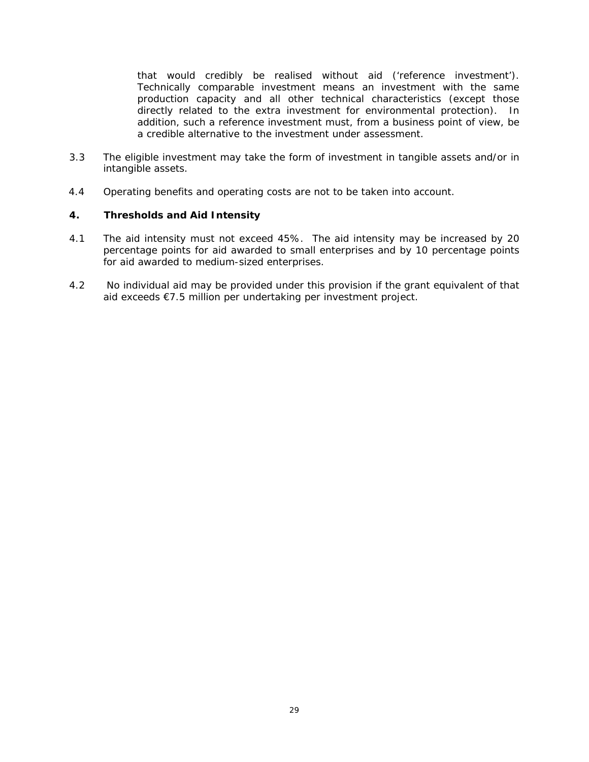that would credibly be realised without aid ('reference investment'). Technically comparable investment means an investment with the same production capacity and all other technical characteristics (except those directly related to the extra investment for environmental protection). In addition, such a reference investment must, from a business point of view, be a credible alternative to the investment under assessment.

- 3.3 The eligible investment may take the form of investment in tangible assets and/or in intangible assets.
- 4.4 Operating benefits and operating costs are not to be taken into account.

- 4.1 The aid intensity must not exceed 45%. The aid intensity may be increased by 20 percentage points for aid awarded to small enterprises and by 10 percentage points for aid awarded to medium-sized enterprises.
- 4.2 No individual aid may be provided under this provision if the grant equivalent of that aid exceeds €7.5 million per undertaking per investment project.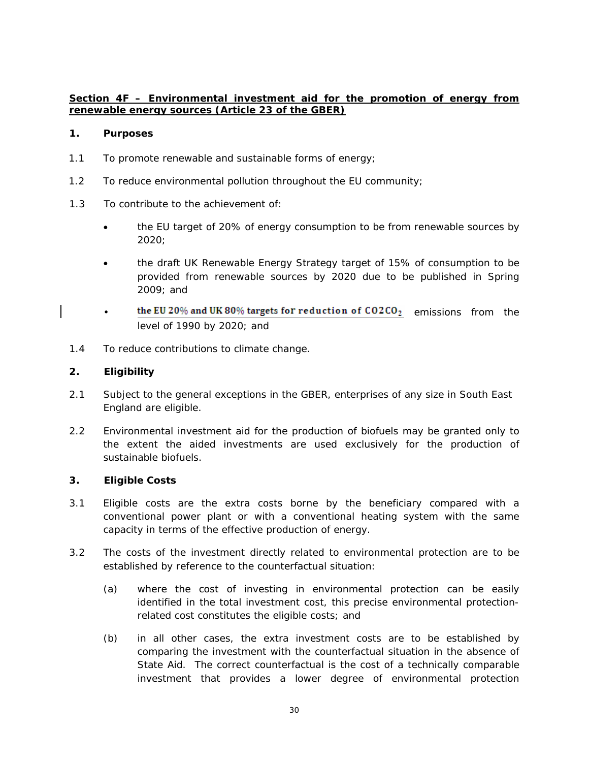# **Section 4F – Environmental investment aid for the promotion of energy from renewable energy sources (Article 23 of the GBER)**

## **1. Purposes**

- 1.1 To promote renewable and sustainable forms of energy;
- 1.2 To reduce environmental pollution throughout the EU community;
- 1.3 To contribute to the achievement of:
	- the EU target of 20% of energy consumption to be from renewable sources by 2020;
	- the draft UK Renewable Energy Strategy target of 15% of consumption to be provided from renewable sources by 2020 due to be published in Spring 2009; and
	- the EU 20% and UK 80% targets for reduction of  $CO2CO<sub>2</sub>$  emissions from the level of 1990 by 2020; and
- 1.4 To reduce contributions to climate change.

## **2. Eligibility**

- 2.1 Subject to the general exceptions in the GBER, enterprises of any size in South East England are eligible.
- 2.2 Environmental investment aid for the production of biofuels may be granted only to the extent the aided investments are used exclusively for the production of sustainable biofuels.

- 3.1 Eligible costs are the extra costs borne by the beneficiary compared with a conventional power plant or with a conventional heating system with the same capacity in terms of the effective production of energy.
- 3.2 The costs of the investment directly related to environmental protection are to be established by reference to the counterfactual situation:
	- (a) where the cost of investing in environmental protection can be easily identified in the total investment cost, this precise environmental protectionrelated cost constitutes the eligible costs; and
	- (b) in all other cases, the extra investment costs are to be established by comparing the investment with the counterfactual situation in the absence of State Aid. The correct counterfactual is the cost of a technically comparable investment that provides a lower degree of environmental protection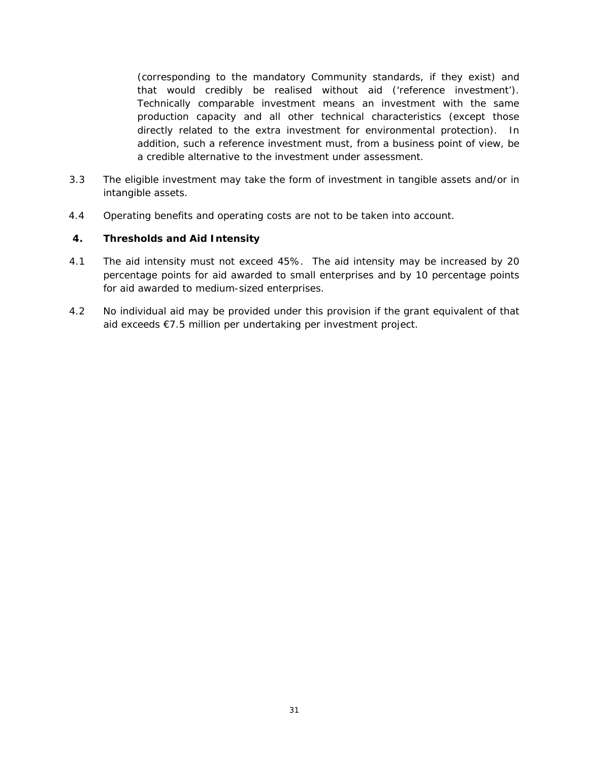(corresponding to the mandatory Community standards, if they exist) and that would credibly be realised without aid ('reference investment'). Technically comparable investment means an investment with the same production capacity and all other technical characteristics (except those directly related to the extra investment for environmental protection). In addition, such a reference investment must, from a business point of view, be a credible alternative to the investment under assessment.

- 3.3 The eligible investment may take the form of investment in tangible assets and/or in intangible assets.
- 4.4 Operating benefits and operating costs are not to be taken into account.

- 4.1 The aid intensity must not exceed 45%. The aid intensity may be increased by 20 percentage points for aid awarded to small enterprises and by 10 percentage points for aid awarded to medium-sized enterprises.
- 4.2 No individual aid may be provided under this provision if the grant equivalent of that aid exceeds €7.5 million per undertaking per investment project.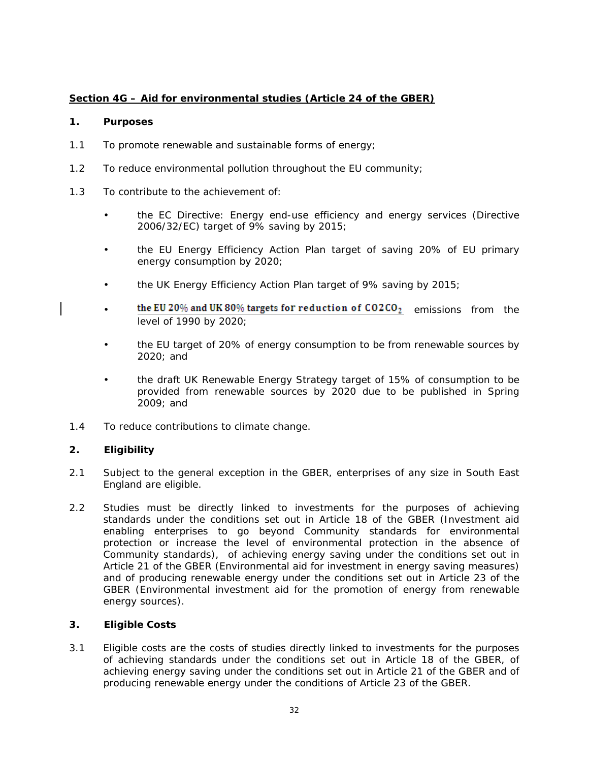# **Section 4G – Aid for environmental studies (Article 24 of the GBER)**

#### **1. Purposes**

- 1.1 To promote renewable and sustainable forms of energy;
- 1.2 To reduce environmental pollution throughout the EU community;
- 1.3 To contribute to the achievement of:
	- the EC Directive: Energy end-use efficiency and energy services (Directive 2006/32/EC) target of 9% saving by 2015;
	- the EU Energy Efficiency Action Plan target of saving 20% of EU primary energy consumption by 2020;
	- the UK Energy Efficiency Action Plan target of 9% saving by 2015;
	- the EU 20% and UK 80% targets for reduction of  $CO2CO<sub>2</sub>$  emissions from the level of 1990 by 2020;
	- the EU target of 20% of energy consumption to be from renewable sources by 2020; and
	- the draft UK Renewable Energy Strategy target of 15% of consumption to be provided from renewable sources by 2020 due to be published in Spring 2009; and
- 1.4 To reduce contributions to climate change.

## **2. Eligibility**

- 2.1 Subject to the general exception in the GBER, enterprises of any size in South East England are eligible.
- 2.2 Studies must be directly linked to investments for the purposes of achieving standards under the conditions set out in Article 18 of the GBER (Investment aid enabling enterprises to go beyond Community standards for environmental protection or increase the level of environmental protection in the absence of Community standards), of achieving energy saving under the conditions set out in Article 21 of the GBER (Environmental aid for investment in energy saving measures) and of producing renewable energy under the conditions set out in Article 23 of the GBER (Environmental investment aid for the promotion of energy from renewable energy sources).

## **3. Eligible Costs**

3.1 Eligible costs are the costs of studies directly linked to investments for the purposes of achieving standards under the conditions set out in Article 18 of the GBER, of achieving energy saving under the conditions set out in Article 21 of the GBER and of producing renewable energy under the conditions of Article 23 of the GBER.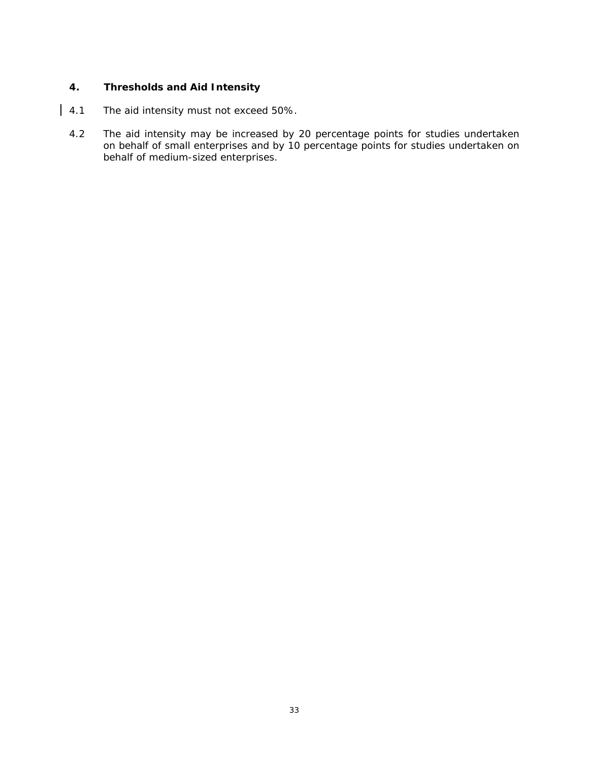- | 4.1 The aid intensity must not exceed 50%.
	- 4.2 The aid intensity may be increased by 20 percentage points for studies undertaken on behalf of small enterprises and by 10 percentage points for studies undertaken on behalf of medium-sized enterprises.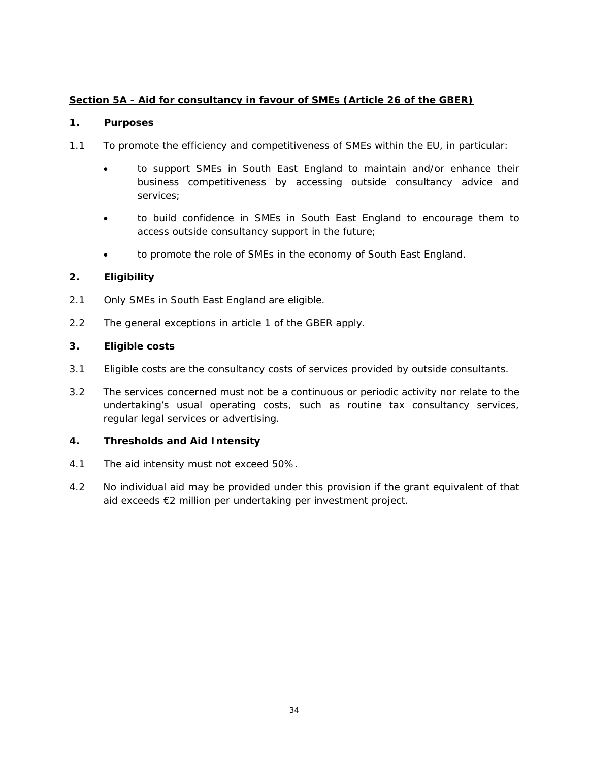# **Section 5A - Aid for consultancy in favour of SMEs (Article 26 of the GBER)**

## **1. Purposes**

- 1.1 To promote the efficiency and competitiveness of SMEs within the EU, in particular:
	- to support SMEs in South East England to maintain and/or enhance their business competitiveness by accessing outside consultancy advice and services;
	- to build confidence in SMEs in South East England to encourage them to access outside consultancy support in the future;
	- to promote the role of SMEs in the economy of South East England.

# **2. Eligibility**

- 2.1 Only SMEs in South East England are eligible.
- 2.2 The general exceptions in article 1 of the GBER apply.

# **3. Eligible costs**

- 3.1 Eligible costs are the consultancy costs of services provided by outside consultants.
- 3.2 The services concerned must not be a continuous or periodic activity nor relate to the undertaking's usual operating costs, such as routine tax consultancy services, regular legal services or advertising.

- 4.1 The aid intensity must not exceed 50%.
- 4.2 No individual aid may be provided under this provision if the grant equivalent of that aid exceeds €2 million per undertaking per investment project.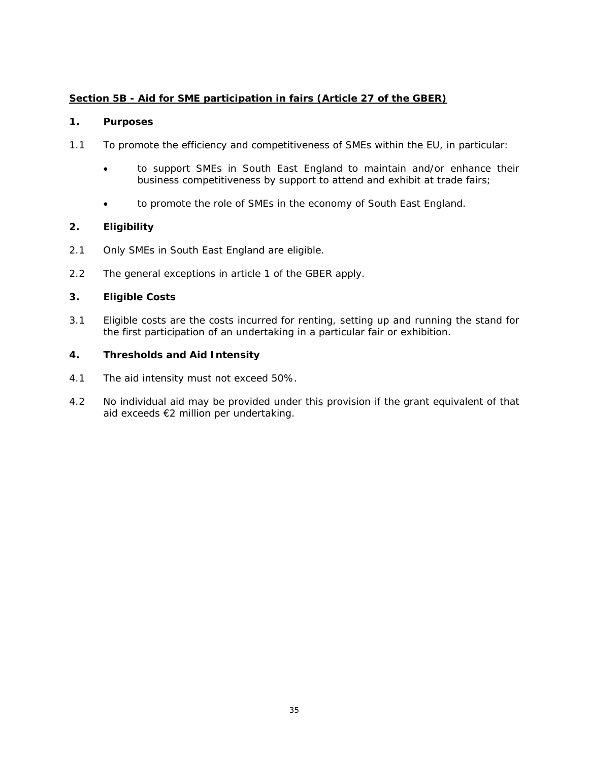# **Section 5B - Aid for SME participation in fairs (Article 27 of the GBER)**

#### **1. Purposes**

- 1.1 To promote the efficiency and competitiveness of SMEs within the EU, in particular:
	- to support SMEs in South East England to maintain and/or enhance their business competitiveness by support to attend and exhibit at trade fairs;
	- to promote the role of SMEs in the economy of South East England.

## **2. Eligibility**

- 2.1 Only SMEs in South East England are eligible.
- 2.2 The general exceptions in article 1 of the GBER apply.

## **3. Eligible Costs**

3.1 Eligible costs are the costs incurred for renting, setting up and running the stand for the first participation of an undertaking in a particular fair or exhibition.

- 4.1 The aid intensity must not exceed 50%.
- 4.2 No individual aid may be provided under this provision if the grant equivalent of that aid exceeds €2 million per undertaking.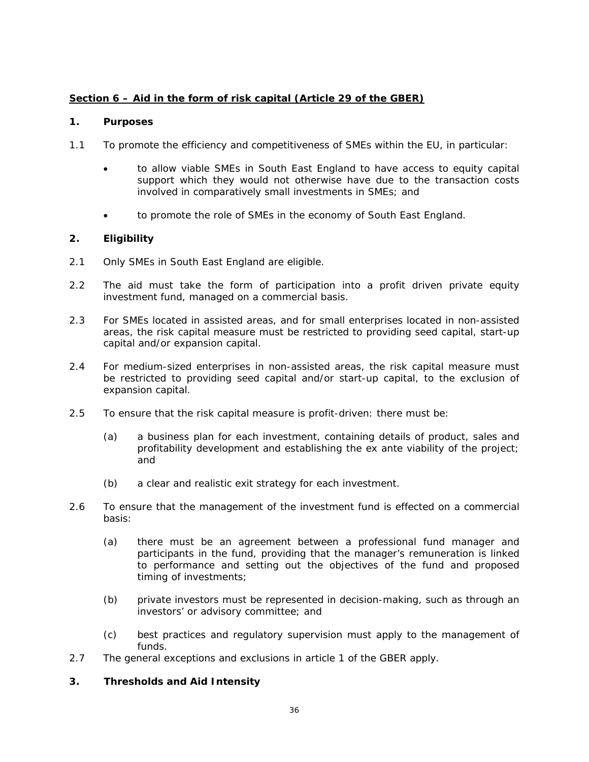# **Section 6 – Aid in the form of risk capital (Article 29 of the GBER)**

#### **1. Purposes**

- 1.1 To promote the efficiency and competitiveness of SMEs within the EU, in particular:
	- to allow viable SMEs in South East England to have access to equity capital support which they would not otherwise have due to the transaction costs involved in comparatively small investments in SMEs; and
	- to promote the role of SMEs in the economy of South East England.

## **2. Eligibility**

- 2.1 Only SMEs in South East England are eligible.
- 2.2 The aid must take the form of participation into a profit driven private equity investment fund, managed on a commercial basis.
- 2.3 For SMEs located in assisted areas, and for small enterprises located in non-assisted areas, the risk capital measure must be restricted to providing seed capital, start-up capital and/or expansion capital.
- 2.4 For medium-sized enterprises in non-assisted areas, the risk capital measure must be restricted to providing seed capital and/or start-up capital, to the exclusion of expansion capital.
- 2.5 To ensure that the risk capital measure is profit-driven: there must be:
	- (a) a business plan for each investment, containing details of product, sales and profitability development and establishing the *ex ante* viability of the project; and
	- (b) a clear and realistic exit strategy for each investment.
- 2.6 To ensure that the management of the investment fund is effected on a commercial basis:
	- (a) there must be an agreement between a professional fund manager and participants in the fund, providing that the manager's remuneration is linked to performance and setting out the objectives of the fund and proposed timing of investments;
	- (b) private investors must be represented in decision-making, such as through an investors' or advisory committee; and
	- (c) best practices and regulatory supervision must apply to the management of funds.
- 2.7 The general exceptions and exclusions in article 1 of the GBER apply.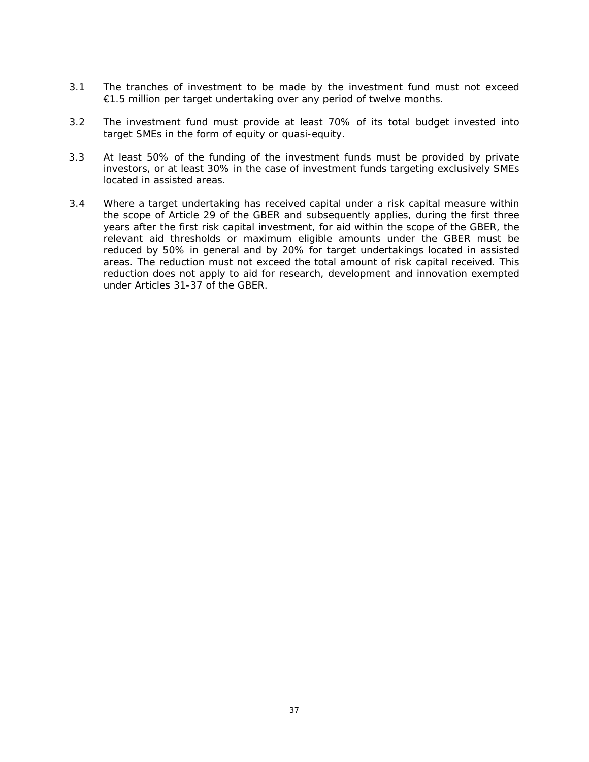- 3.1 The tranches of investment to be made by the investment fund must not exceed €1.5 million per target undertaking over any period of twelve months.
- 3.2 The investment fund must provide at least 70% of its total budget invested into target SMEs in the form of equity or quasi-equity.
- 3.3 At least 50% of the funding of the investment funds must be provided by private investors, or at least 30% in the case of investment funds targeting exclusively SMEs located in assisted areas.
- 3.4 Where a target undertaking has received capital under a risk capital measure within the scope of Article 29 of the GBER and subsequently applies, during the first three years after the first risk capital investment, for aid within the scope of the GBER, the relevant aid thresholds or maximum eligible amounts under the GBER must be reduced by 50% in general and by 20% for target undertakings located in assisted areas. The reduction must not exceed the total amount of risk capital received. This reduction does not apply to aid for research, development and innovation exempted under Articles 31-37 of the GBER.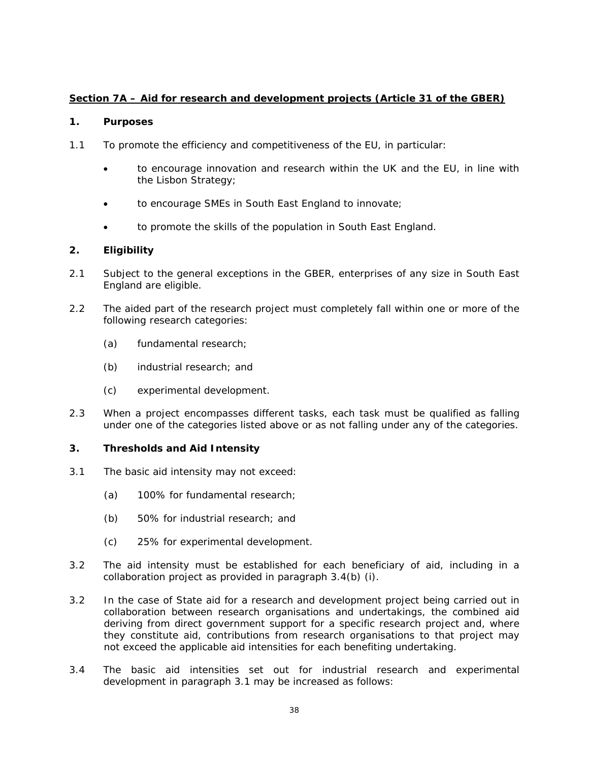# **Section 7A – Aid for research and development projects (Article 31 of the GBER)**

## **1. Purposes**

- 1.1 To promote the efficiency and competitiveness of the EU, in particular:
	- to encourage innovation and research within the UK and the EU, in line with the Lisbon Strategy;
	- to encourage SMEs in South East England to innovate;
	- to promote the skills of the population in South East England.

# **2. Eligibility**

- 2.1 Subject to the general exceptions in the GBER, enterprises of any size in South East England are eligible.
- 2.2 The aided part of the research project must completely fall within one or more of the following research categories:
	- (a) fundamental research;
	- (b) industrial research; and
	- (c) experimental development.
- 2.3 When a project encompasses different tasks, each task must be qualified as falling under one of the categories listed above or as not falling under any of the categories.

- 3.1 The basic aid intensity may not exceed:
	- (a) 100% for fundamental research;
	- (b) 50% for industrial research; and
	- (c) 25% for experimental development.
- 3.2 The aid intensity must be established for each beneficiary of aid, including in a collaboration project as provided in paragraph 3.4(b) (i).
- 3.2 In the case of State aid for a research and development project being carried out in collaboration between research organisations and undertakings, the combined aid deriving from direct government support for a specific research project and, where they constitute aid, contributions from research organisations to that project may not exceed the applicable aid intensities for each benefiting undertaking.
- 3.4 The basic aid intensities set out for industrial research and experimental development in paragraph 3.1 may be increased as follows: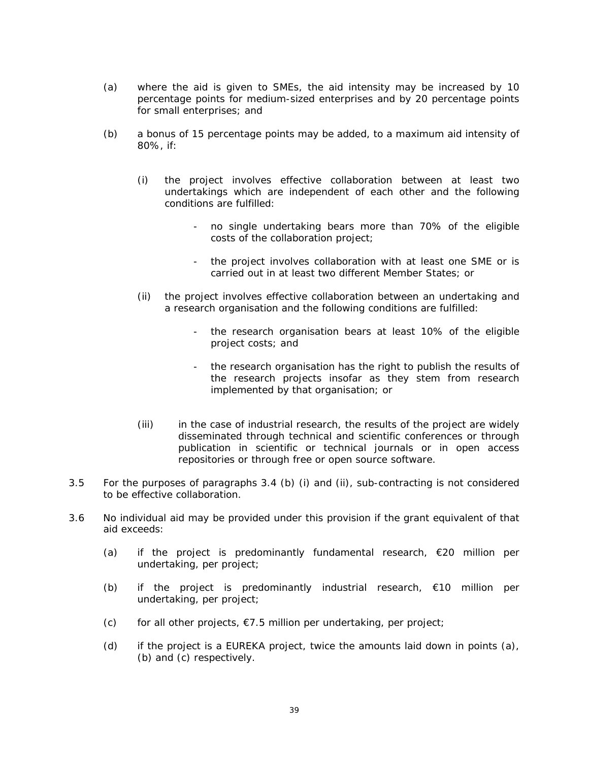- (a) where the aid is given to SMEs, the aid intensity may be increased by 10 percentage points for medium-sized enterprises and by 20 percentage points for small enterprises; and
- (b) a bonus of 15 percentage points may be added, to a maximum aid intensity of 80%, if:
	- (i) the project involves effective collaboration between at least two undertakings which are independent of each other and the following conditions are fulfilled:
		- no single undertaking bears more than 70% of the eligible costs of the collaboration project;
		- the project involves collaboration with at least one SME or is carried out in at least two different Member States; or
	- (ii) the project involves effective collaboration between an undertaking and a research organisation and the following conditions are fulfilled:
		- the research organisation bears at least 10% of the eligible project costs; and
		- the research organisation has the right to publish the results of the research projects insofar as they stem from research implemented by that organisation; or
	- (iii) in the case of industrial research, the results of the project are widely disseminated through technical and scientific conferences or through publication in scientific or technical journals or in open access repositories or through free or open source software.
- 3.5 For the purposes of paragraphs 3.4 (b) (i) and (ii), sub-contracting is not considered to be effective collaboration.
- 3.6 No individual aid may be provided under this provision if the grant equivalent of that aid exceeds:
	- (a) if the project is predominantly fundamental research,  $\epsilon$ 20 million per undertaking, per project;
	- (b) if the project is predominantly industrial research,  $\epsilon$ 10 million per undertaking, per project;
	- (c) for all other projects,  $\epsilon$ 7.5 million per undertaking, per project;
	- (d) if the project is a EUREKA project, twice the amounts laid down in points (a), (b) and (c) respectively.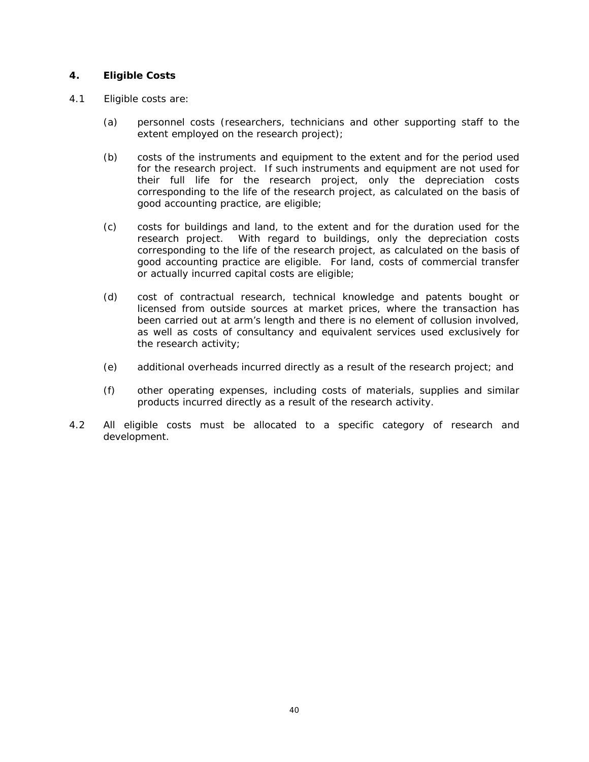- 4.1 Eligible costs are:
	- (a) personnel costs (researchers, technicians and other supporting staff to the extent employed on the research project);
	- (b) costs of the instruments and equipment to the extent and for the period used for the research project. If such instruments and equipment are not used for their full life for the research project, only the depreciation costs corresponding to the life of the research project, as calculated on the basis of good accounting practice, are eligible;
	- (c) costs for buildings and land, to the extent and for the duration used for the research project. With regard to buildings, only the depreciation costs corresponding to the life of the research project, as calculated on the basis of good accounting practice are eligible. For land, costs of commercial transfer or actually incurred capital costs are eligible;
	- (d) cost of contractual research, technical knowledge and patents bought or licensed from outside sources at market prices, where the transaction has been carried out at arm's length and there is no element of collusion involved, as well as costs of consultancy and equivalent services used exclusively for the research activity;
	- (e) additional overheads incurred directly as a result of the research project; and
	- (f) other operating expenses, including costs of materials, supplies and similar products incurred directly as a result of the research activity.
- 4.2 All eligible costs must be allocated to a specific category of research and development.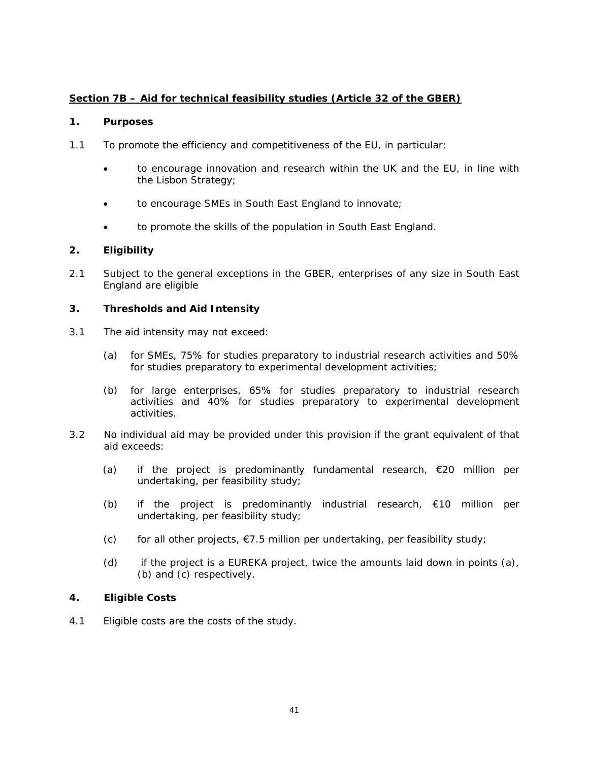# **Section 7B – Aid for technical feasibility studies (Article 32 of the GBER)**

## **1. Purposes**

- 1.1 To promote the efficiency and competitiveness of the EU, in particular:
	- to encourage innovation and research within the UK and the EU, in line with the Lisbon Strategy;
	- to encourage SMEs in South East England to innovate;
	- to promote the skills of the population in South East England.

# **2. Eligibility**

2.1 Subject to the general exceptions in the GBER, enterprises of any size in South East England are eligible

# **3. Thresholds and Aid Intensity**

- 3.1 The aid intensity may not exceed:
	- (a) for SMEs, 75% for studies preparatory to industrial research activities and 50% for studies preparatory to experimental development activities;
	- (b) for large enterprises, 65% for studies preparatory to industrial research activities and 40% for studies preparatory to experimental development activities.
- 3.2 No individual aid may be provided under this provision if the grant equivalent of that aid exceeds:
	- (a) if the project is predominantly fundamental research,  $€20$  million per undertaking, per feasibility study;
	- (b) if the project is predominantly industrial research,  $\epsilon$ 10 million per undertaking, per feasibility study;
	- (c) for all other projects,  $\epsilon$ 7.5 million per undertaking, per feasibility study;
	- (d) if the project is a EUREKA project, twice the amounts laid down in points (a), (b) and (c) respectively.

# **4. Eligible Costs**

4.1 Eligible costs are the costs of the study.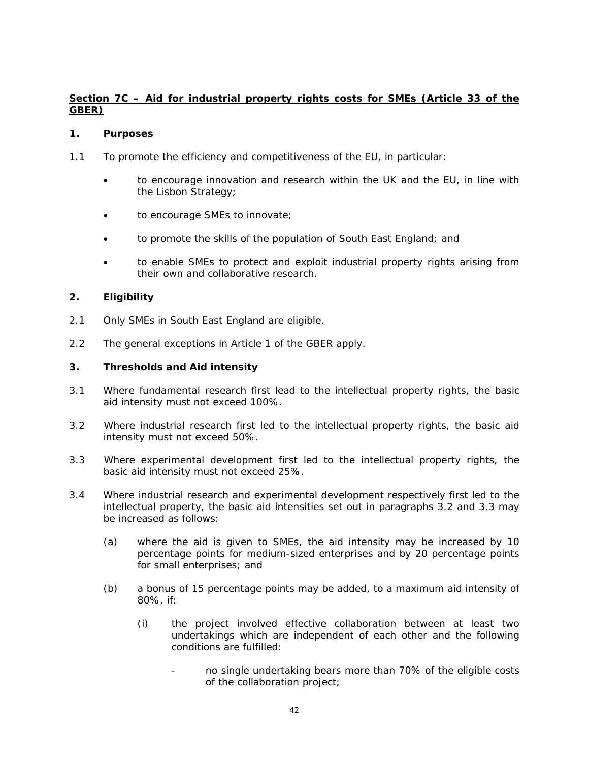# **Section 7C – Aid for industrial property rights costs for SMEs (Article 33 of the GBER)**

## **1. Purposes**

- 1.1 To promote the efficiency and competitiveness of the EU, in particular:
	- to encourage innovation and research within the UK and the EU, in line with the Lisbon Strategy;
	- to encourage SMEs to innovate;
	- to promote the skills of the population of South East England; and
	- to enable SMEs to protect and exploit industrial property rights arising from their own and collaborative research.

# **2. Eligibility**

- 2.1 Only SMEs in South East England are eligible.
- 2.2 The general exceptions in Article 1 of the GBER apply.

- 3.1 Where fundamental research first lead to the intellectual property rights, the basic aid intensity must not exceed 100%.
- 3.2 Where industrial research first led to the intellectual property rights, the basic aid intensity must not exceed 50%.
- 3.3 Where experimental development first led to the intellectual property rights, the basic aid intensity must not exceed 25%.
- 3.4 Where industrial research and experimental development respectively first led to the intellectual property, the basic aid intensities set out in paragraphs 3.2 and 3.3 may be increased as follows:
	- (a) where the aid is given to SMEs, the aid intensity may be increased by 10 percentage points for medium-sized enterprises and by 20 percentage points for small enterprises; and
	- (b) a bonus of 15 percentage points may be added, to a maximum aid intensity of 80%, if:
		- (i) the project involved effective collaboration between at least two undertakings which are independent of each other and the following conditions are fulfilled:
			- no single undertaking bears more than 70% of the eligible costs of the collaboration project;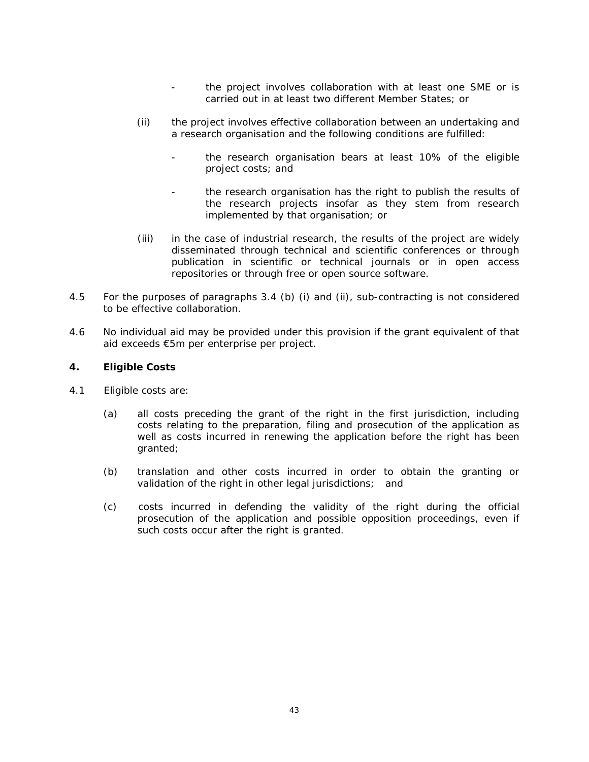- the project involves collaboration with at least one SME or is carried out in at least two different Member States; or
- (ii) the project involves effective collaboration between an undertaking and a research organisation and the following conditions are fulfilled:
	- the research organisation bears at least 10% of the eligible project costs; and
	- the research organisation has the right to publish the results of the research projects insofar as they stem from research implemented by that organisation; or
- (iii) in the case of industrial research, the results of the project are widely disseminated through technical and scientific conferences or through publication in scientific or technical journals or in open access repositories or through free or open source software.
- 4.5 For the purposes of paragraphs 3.4 (b) (i) and (ii), sub-contracting is not considered to be effective collaboration.
- 4.6 No individual aid may be provided under this provision if the grant equivalent of that aid exceeds €5m per enterprise per project.

- 4.1 Eligible costs are:
	- (a) all costs preceding the grant of the right in the first jurisdiction, including costs relating to the preparation, filing and prosecution of the application as well as costs incurred in renewing the application before the right has been granted;
	- (b) translation and other costs incurred in order to obtain the granting or validation of the right in other legal jurisdictions; and
	- (c) costs incurred in defending the validity of the right during the official prosecution of the application and possible opposition proceedings, even if such costs occur after the right is granted.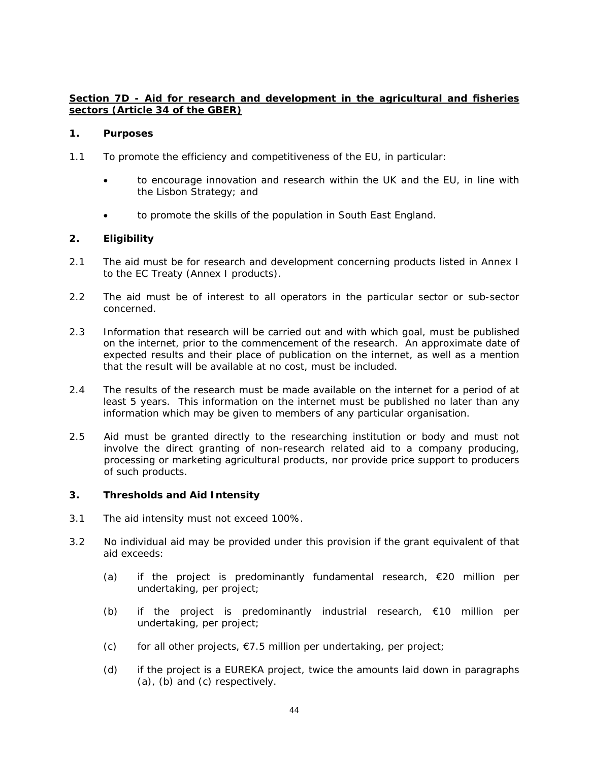# **Section 7D - Aid for research and development in the agricultural and fisheries sectors (Article 34 of the GBER)**

## **1. Purposes**

- 1.1 To promote the efficiency and competitiveness of the EU, in particular:
	- to encourage innovation and research within the UK and the EU, in line with the Lisbon Strategy; and
	- to promote the skills of the population in South East England.

## **2. Eligibility**

- 2.1 The aid must be for research and development concerning products listed in Annex I to the EC Treaty (Annex I products).
- 2.2 The aid must be of interest to all operators in the particular sector or sub-sector concerned.
- 2.3 Information that research will be carried out and with which goal, must be published on the internet, prior to the commencement of the research. An approximate date of expected results and their place of publication on the internet, as well as a mention that the result will be available at no cost, must be included.
- 2.4 The results of the research must be made available on the internet for a period of at least 5 years. This information on the internet must be published no later than any information which may be given to members of any particular organisation.
- 2.5 Aid must be granted directly to the researching institution or body and must not involve the direct granting of non-research related aid to a company producing, processing or marketing agricultural products, nor provide price support to producers of such products.

- 3.1 The aid intensity must not exceed 100%.
- 3.2 No individual aid may be provided under this provision if the grant equivalent of that aid exceeds:
	- (a) if the project is predominantly fundamental research, €20 million per undertaking, per project;
	- (b) if the project is predominantly industrial research,  $\epsilon$ 10 million per undertaking, per project;
	- (c) for all other projects,  $\epsilon$ 7.5 million per undertaking, per project;
	- (d) if the project is a EUREKA project, twice the amounts laid down in paragraphs (a), (b) and (c) respectively.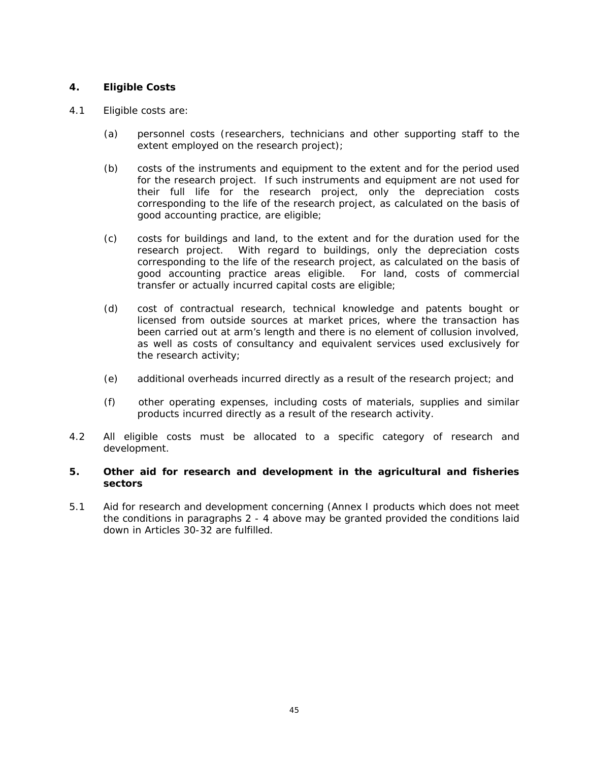# **4. Eligible Costs**

#### 4.1 Eligible costs are:

- (a) personnel costs (researchers, technicians and other supporting staff to the extent employed on the research project);
- (b) costs of the instruments and equipment to the extent and for the period used for the research project. If such instruments and equipment are not used for their full life for the research project, only the depreciation costs corresponding to the life of the research project, as calculated on the basis of good accounting practice, are eligible;
- (c) costs for buildings and land, to the extent and for the duration used for the research project. With regard to buildings, only the depreciation costs corresponding to the life of the research project, as calculated on the basis of good accounting practice areas eligible. For land, costs of commercial transfer or actually incurred capital costs are eligible;
- (d) cost of contractual research, technical knowledge and patents bought or licensed from outside sources at market prices, where the transaction has been carried out at arm's length and there is no element of collusion involved, as well as costs of consultancy and equivalent services used exclusively for the research activity;
- (e) additional overheads incurred directly as a result of the research project; and
- (f) other operating expenses, including costs of materials, supplies and similar products incurred directly as a result of the research activity.
- 4.2 All eligible costs must be allocated to a specific category of research and development.

#### **5. Other aid for research and development in the agricultural and fisheries sectors**

5.1 Aid for research and development concerning (Annex I products which does not meet the conditions in paragraphs 2 - 4 above may be granted provided the conditions laid down in Articles 30-32 are fulfilled.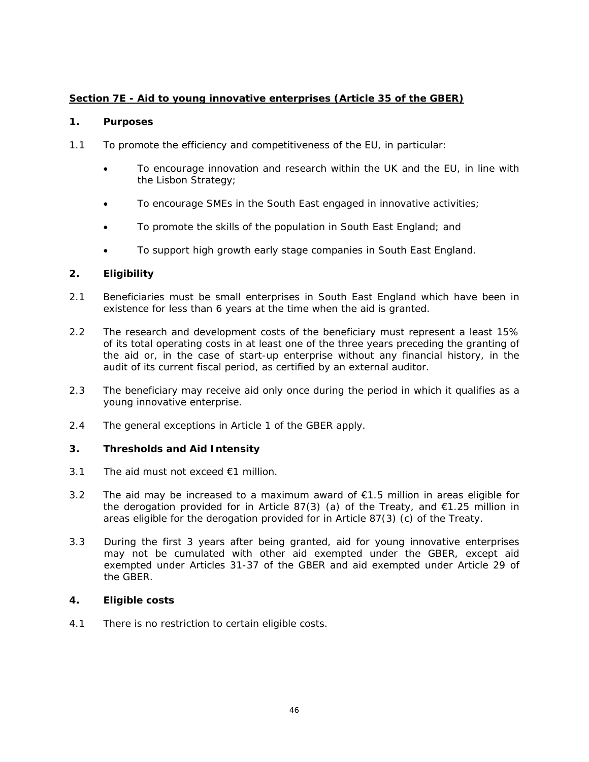# **Section 7E - Aid to young innovative enterprises (Article 35 of the GBER)**

## **1. Purposes**

- 1.1 To promote the efficiency and competitiveness of the EU, in particular:
	- To encourage innovation and research within the UK and the EU, in line with the Lisbon Strategy;
	- To encourage SMEs in the South East engaged in innovative activities;
	- To promote the skills of the population in South East England; and
	- To support high growth early stage companies in South East England.

# **2. Eligibility**

- 2.1 Beneficiaries must be small enterprises in South East England which have been in existence for less than 6 years at the time when the aid is granted.
- 2.2 The research and development costs of the beneficiary must represent a least 15% of its total operating costs in at least one of the three years preceding the granting of the aid or, in the case of start-up enterprise without any financial history, in the audit of its current fiscal period, as certified by an external auditor.
- 2.3 The beneficiary may receive aid only once during the period in which it qualifies as a young innovative enterprise.
- 2.4 The general exceptions in Article 1 of the GBER apply.

## **3. Thresholds and Aid Intensity**

- 3.1 The aid must not exceed €1 million.
- 3.2 The aid may be increased to a maximum award of €1.5 million in areas eligible for the derogation provided for in Article 87(3) (a) of the Treaty, and  $\epsilon$ 1.25 million in areas eligible for the derogation provided for in Article 87(3) (c) of the Treaty.
- 3.3 During the first 3 years after being granted, aid for young innovative enterprises may not be cumulated with other aid exempted under the GBER, except aid exempted under Articles 31-37 of the GBER and aid exempted under Article 29 of the GBER.

## **4. Eligible costs**

4.1 There is no restriction to certain eligible costs.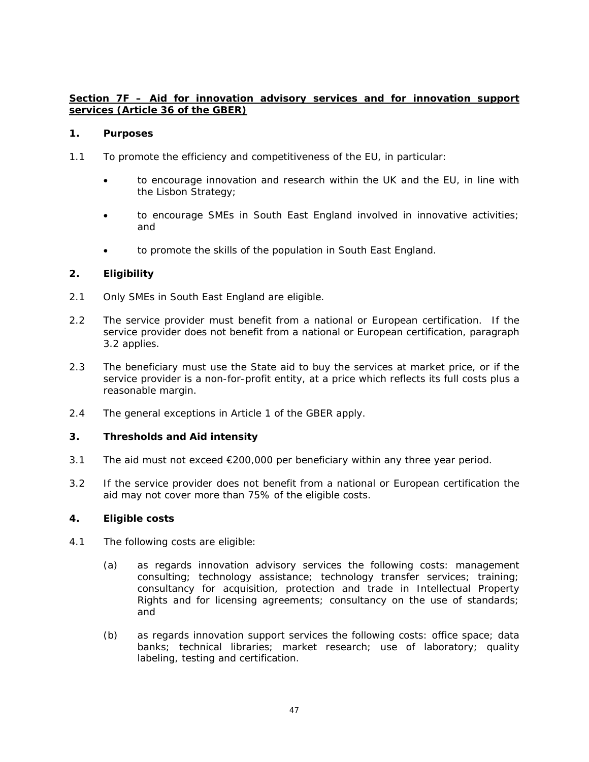# **Section 7F – Aid for innovation advisory services and for innovation support services (Article 36 of the GBER)**

#### **1. Purposes**

- 1.1 To promote the efficiency and competitiveness of the EU, in particular:
	- to encourage innovation and research within the UK and the EU, in line with the Lisbon Strategy;
	- to encourage SMEs in South East England involved in innovative activities; and
	- to promote the skills of the population in South East England.

# **2. Eligibility**

- 2.1 Only SMEs in South East England are eligible.
- 2.2 The service provider must benefit from a national or European certification. If the service provider does not benefit from a national or European certification, paragraph 3.2 applies.
- 2.3 The beneficiary must use the State aid to buy the services at market price, or if the service provider is a non-for-profit entity, at a price which reflects its full costs plus a reasonable margin.
- 2.4 The general exceptions in Article 1 of the GBER apply.

## **3. Thresholds and Aid intensity**

- 3.1 The aid must not exceed €200,000 per beneficiary within any three year period.
- 3.2 If the service provider does not benefit from a national or European certification the aid may not cover more than 75% of the eligible costs.

- 4.1 The following costs are eligible:
	- (a) as regards innovation advisory services the following costs: management consulting; technology assistance; technology transfer services; training; consultancy for acquisition, protection and trade in Intellectual Property Rights and for licensing agreements; consultancy on the use of standards; and
	- (b) as regards innovation support services the following costs: office space; data banks; technical libraries; market research; use of laboratory; quality labeling, testing and certification.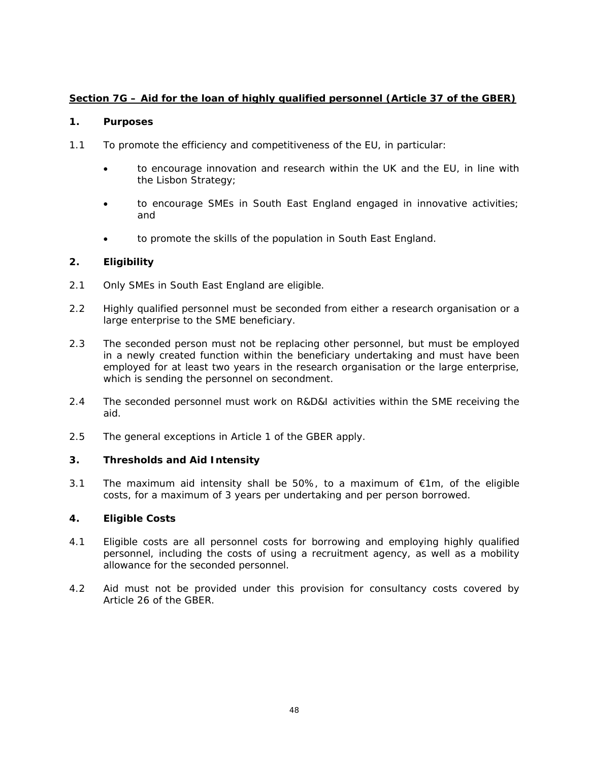# **Section 7G – Aid for the loan of highly qualified personnel (Article 37 of the GBER)**

## **1. Purposes**

- 1.1 To promote the efficiency and competitiveness of the EU, in particular:
	- to encourage innovation and research within the UK and the EU, in line with the Lisbon Strategy;
	- to encourage SMEs in South East England engaged in innovative activities; and
	- to promote the skills of the population in South East England.

# **2. Eligibility**

- 2.1 Only SMEs in South East England are eligible.
- 2.2 Highly qualified personnel must be seconded from either a research organisation or a large enterprise to the SME beneficiary.
- 2.3 The seconded person must not be replacing other personnel, but must be employed in a newly created function within the beneficiary undertaking and must have been employed for at least two years in the research organisation or the large enterprise, which is sending the personnel on secondment.
- 2.4 The seconded personnel must work on R&D&I activities within the SME receiving the aid.
- 2.5 The general exceptions in Article 1 of the GBER apply.

## **3. Thresholds and Aid Intensity**

3.1 The maximum aid intensity shall be 50%, to a maximum of  $\epsilon$ 1m, of the eligible costs, for a maximum of 3 years per undertaking and per person borrowed.

- 4.1 Eligible costs are all personnel costs for borrowing and employing highly qualified personnel, including the costs of using a recruitment agency, as well as a mobility allowance for the seconded personnel.
- 4.2 Aid must not be provided under this provision for consultancy costs covered by Article 26 of the GBER.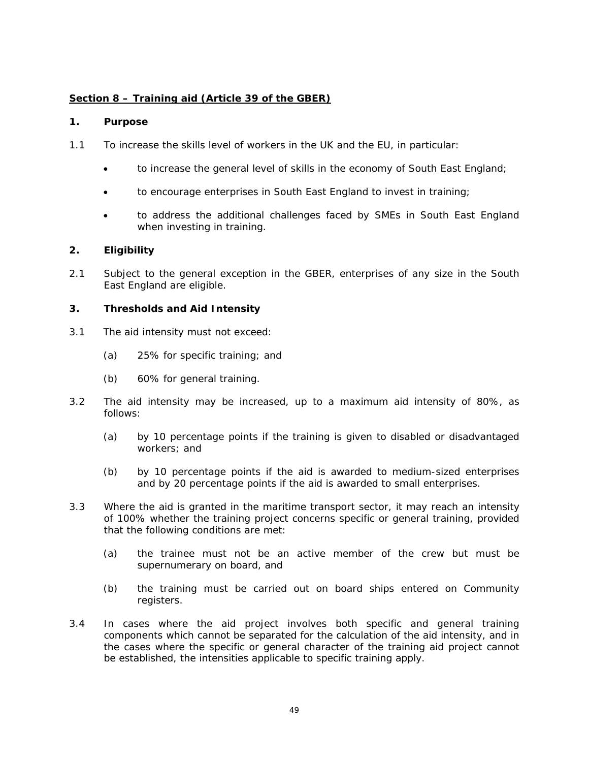# **Section 8 – Training aid (Article 39 of the GBER)**

#### **1. Purpose**

- 1.1 To increase the skills level of workers in the UK and the EU, in particular:
	- to increase the general level of skills in the economy of South East England;
	- to encourage enterprises in South East England to invest in training;
	- to address the additional challenges faced by SMEs in South East England when investing in training.

## **2. Eligibility**

2.1 Subject to the general exception in the GBER, enterprises of any size in the South East England are eligible.

- 3.1 The aid intensity must not exceed:
	- (a) 25% for specific training; and
	- (b) 60% for general training.
- 3.2 The aid intensity may be increased, up to a maximum aid intensity of 80%, as follows:
	- (a) by 10 percentage points if the training is given to disabled or disadvantaged workers; and
	- (b) by 10 percentage points if the aid is awarded to medium-sized enterprises and by 20 percentage points if the aid is awarded to small enterprises.
- 3.3 Where the aid is granted in the maritime transport sector, it may reach an intensity of 100% whether the training project concerns specific or general training, provided that the following conditions are met:
	- (a) the trainee must not be an active member of the crew but must be supernumerary on board, and
	- (b) the training must be carried out on board ships entered on Community registers.
- 3.4 In cases where the aid project involves both specific and general training components which cannot be separated for the calculation of the aid intensity, and in the cases where the specific or general character of the training aid project cannot be established, the intensities applicable to specific training apply.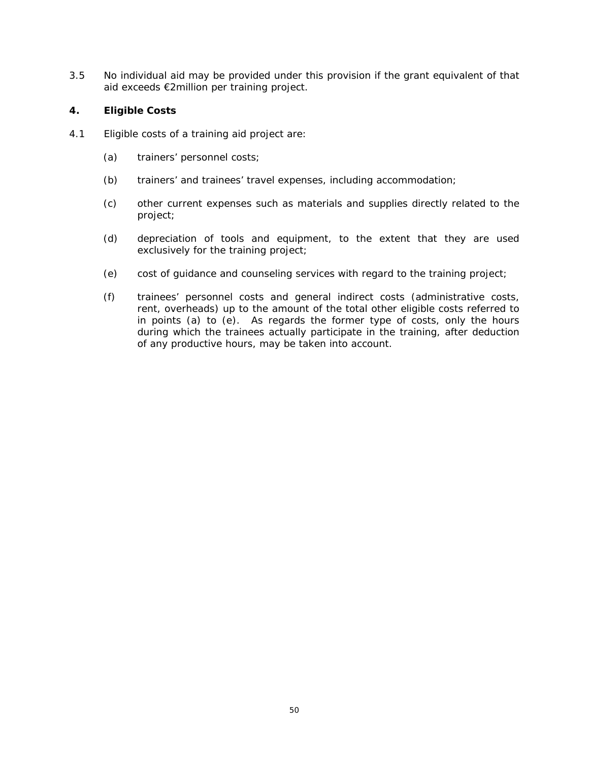3.5 No individual aid may be provided under this provision if the grant equivalent of that aid exceeds €2million per training project.

- 4.1 Eligible costs of a training aid project are:
	- (a) trainers' personnel costs;
	- (b) trainers' and trainees' travel expenses, including accommodation;
	- (c) other current expenses such as materials and supplies directly related to the project;
	- (d) depreciation of tools and equipment, to the extent that they are used exclusively for the training project;
	- (e) cost of guidance and counseling services with regard to the training project;
	- (f) trainees' personnel costs and general indirect costs (administrative costs, rent, overheads) up to the amount of the total other eligible costs referred to in points (a) to (e). As regards the former type of costs, only the hours during which the trainees actually participate in the training, after deduction of any productive hours, may be taken into account.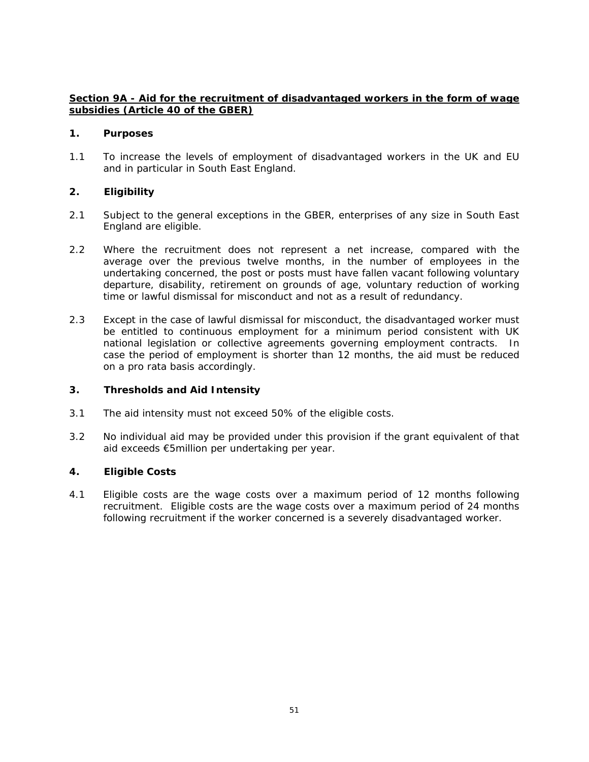# **Section 9A - Aid for the recruitment of disadvantaged workers in the form of wage subsidies (Article 40 of the GBER)**

#### **1. Purposes**

1.1 To increase the levels of employment of disadvantaged workers in the UK and EU and in particular in South East England.

## **2. Eligibility**

- 2.1 Subject to the general exceptions in the GBER, enterprises of any size in South East England are eligible.
- 2.2 Where the recruitment does not represent a net increase, compared with the average over the previous twelve months, in the number of employees in the undertaking concerned, the post or posts must have fallen vacant following voluntary departure, disability, retirement on grounds of age, voluntary reduction of working time or lawful dismissal for misconduct and not as a result of redundancy.
- 2.3 Except in the case of lawful dismissal for misconduct, the disadvantaged worker must be entitled to continuous employment for a minimum period consistent with UK national legislation or collective agreements governing employment contracts. In case the period of employment is shorter than 12 months, the aid must be reduced on a pro rata basis accordingly.

## **3. Thresholds and Aid Intensity**

- 3.1 The aid intensity must not exceed 50% of the eligible costs.
- 3.2 No individual aid may be provided under this provision if the grant equivalent of that aid exceeds €5million per undertaking per year.

## **4. Eligible Costs**

4.1 Eligible costs are the wage costs over a maximum period of 12 months following recruitment. Eligible costs are the wage costs over a maximum period of 24 months following recruitment if the worker concerned is a severely disadvantaged worker.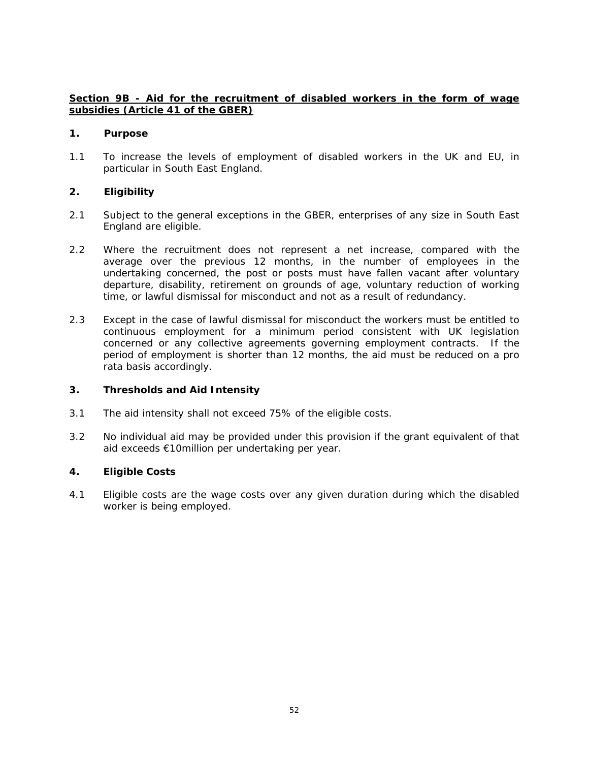# **Section 9B - Aid for the recruitment of disabled workers in the form of wage subsidies (Article 41 of the GBER)**

#### **1. Purpose**

1.1 To increase the levels of employment of disabled workers in the UK and EU, in particular in South East England.

## **2. Eligibility**

- 2.1 Subject to the general exceptions in the GBER, enterprises of any size in South East England are eligible.
- 2.2 Where the recruitment does not represent a net increase, compared with the average over the previous 12 months, in the number of employees in the undertaking concerned, the post or posts must have fallen vacant after voluntary departure, disability, retirement on grounds of age, voluntary reduction of working time, or lawful dismissal for misconduct and not as a result of redundancy.
- 2.3 Except in the case of lawful dismissal for misconduct the workers must be entitled to continuous employment for a minimum period consistent with UK legislation concerned or any collective agreements governing employment contracts. If the period of employment is shorter than 12 months, the aid must be reduced on a pro rata basis accordingly.

## **3. Thresholds and Aid Intensity**

- 3.1 The aid intensity shall not exceed 75% of the eligible costs.
- 3.2 No individual aid may be provided under this provision if the grant equivalent of that aid exceeds €10million per undertaking per year.

## **4. Eligible Costs**

4.1 Eligible costs are the wage costs over any given duration during which the disabled worker is being employed.